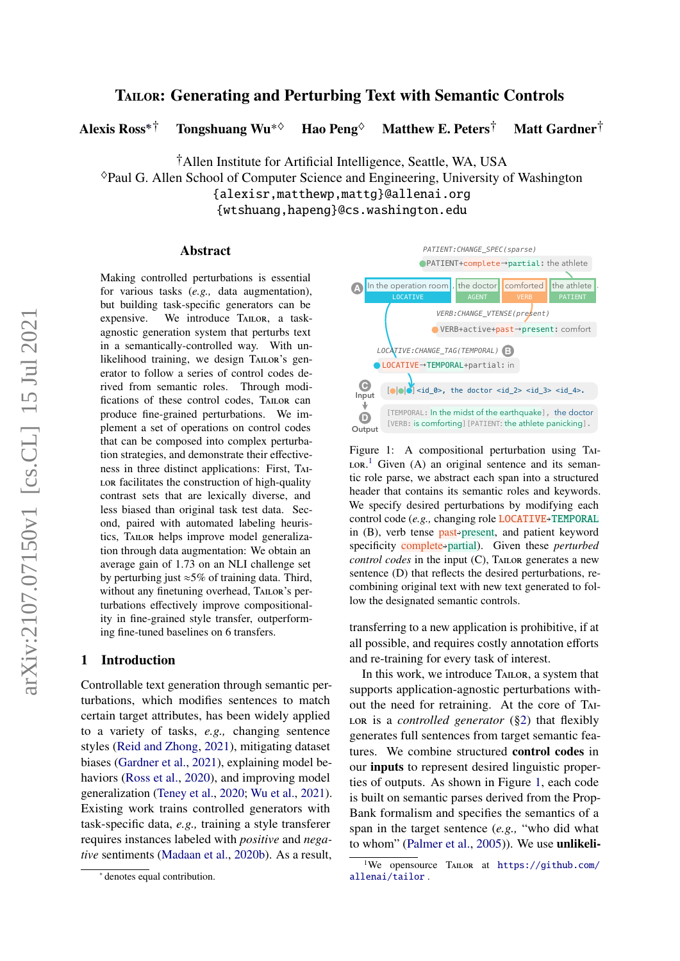# TAILOR: Generating and Perturbing Text with Semantic Controls

Alexis Ross<sup>∗†</sup> Tongshuang Wu<sup>∗◇</sup> Hao Peng<sup>◇</sup> Matthew E. Peters<sup>†</sup> Matt Gardner<sup>†</sup>

†Allen Institute for Artificial Intelligence, Seattle, WA, USA

♦Paul G. Allen School of Computer Science and Engineering, University of Washington {alexisr,matthewp,mattg}@allenai.org

{wtshuang,hapeng}@cs.washington.edu

#### Abstract

Making controlled perturbations is essential for various tasks (*e.g.,* data augmentation), but building task-specific generators can be expensive. We introduce Tailor, a taskagnostic generation system that perturbs text in a semantically-controlled way. With unlikelihood training, we design TAILOR's generator to follow a series of control codes derived from semantic roles. Through modifications of these control codes, TAILOR can produce fine-grained perturbations. We implement a set of operations on control codes that can be composed into complex perturbation strategies, and demonstrate their effectiveness in three distinct applications: First, Tai-LOR facilitates the construction of high-quality contrast sets that are lexically diverse, and less biased than original task test data. Second, paired with automated labeling heuristics, Tailor helps improve model generalization through data augmentation: We obtain an average gain of 1.73 on an NLI challenge set by perturbing just ≈5% of training data. Third, without any finetuning overhead, TAILOR's perturbations effectively improve compositionality in fine-grained style transfer, outperforming fine-tuned baselines on 6 transfers.

#### 1 Introduction

Controllable text generation through semantic perturbations, which modifies sentences to match certain target attributes, has been widely applied to a variety of tasks, *e.g.,* changing sentence styles [\(Reid and Zhong,](#page-12-0) [2021\)](#page-12-0), mitigating dataset biases [\(Gardner et al.,](#page-11-0) [2021\)](#page-11-0), explaining model behaviors [\(Ross et al.,](#page-13-0) [2020\)](#page-13-0), and improving model generalization [\(Teney et al.,](#page-13-1) [2020;](#page-13-1) [Wu et al.,](#page-13-2) [2021\)](#page-13-2). Existing work trains controlled generators with task-specific data, *e.g.,* training a style transferer requires instances labeled with *positive* and *negative* sentiments [\(Madaan et al.,](#page-12-1) [2020b\)](#page-12-1). As a result,

<span id="page-0-1"></span>LOCATIVE→TEMPORAL+partial: in LOCATIVE In the operation room , the doctor comforted PATIENT the athlete  $[ \bullet | \bullet | \bullet ]$  <id\_0>, the doctor <id\_2> <id\_3> <id\_4>. [TEMPORAL: In the midst of the earthquake], the doctor [VERB: is comforting] [PATIENT: the athlete panicking]. PATIENT+complete→partial: the athlete VERB+active+past→present: comfort **A D B** *LOCATIVE:CHANGE\_TAG(TEMPORAL)* **Input C Output** *VERB:CHANGE\_VTENSE(present) PATIENT:CHANGE\_SPEC(sparse)*

Figure 1: A compositional perturbation using Tai- $LOR<sup>1</sup>$  $LOR<sup>1</sup>$  $LOR<sup>1</sup>$  Given (A) an original sentence and its semantic role parse, we abstract each span into a structured header that contains its semantic roles and keywords. We specify desired perturbations by modifying each control code (*e.g.*, changing role **LOCATIVE**+TEMPORAL in  $(B)$ , verb tense **past**<sup>></sup>present, and patient keyword specificity **complete** > partial). Given these *perturbed control codes* in the input (C), TAILOR generates a new sentence (D) that reflects the desired perturbations, recombining original text with new text generated to follow the designated semantic controls.

transferring to a new application is prohibitive, if at all possible, and requires costly annotation efforts and re-training for every task of interest.

In this work, we introduce Tailor, a system that supports application-agnostic perturbations without the need for retraining. At the core of Tai-LOR is a *controlled generator* ([§2\)](#page-1-0) that flexibly generates full sentences from target semantic features. We combine structured control codes in our inputs to represent desired linguistic properties of outputs. As shown in Figure [1,](#page-0-1) each code is built on semantic parses derived from the Prop-Bank formalism and specifies the semantics of a span in the target sentence (*e.g.,* "who did what to whom" [\(Palmer et al.,](#page-12-2) [2005\)](#page-12-2)). We use unlikeli-

<sup>∗</sup> denotes equal contribution.

<span id="page-0-0"></span><sup>&</sup>lt;sup>1</sup>We opensource TAILOR at  $https://github.com/$ [allenai/tailor](https://github.com/allenai/tailor) .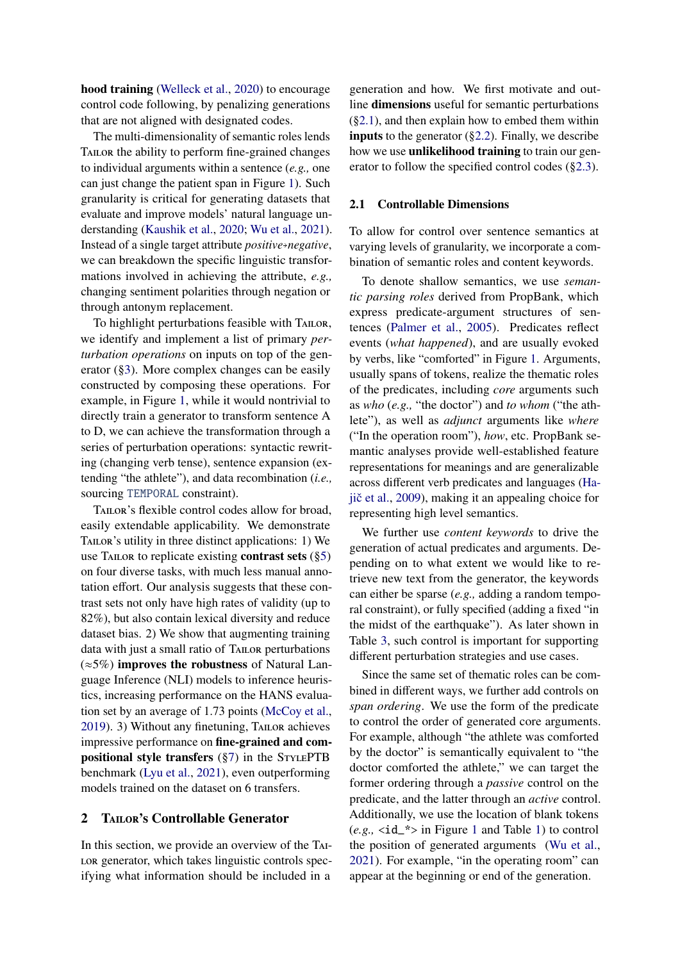hood training [\(Welleck et al.,](#page-13-3) [2020\)](#page-13-3) to encourage control code following, by penalizing generations that are not aligned with designated codes.

The multi-dimensionality of semantic roles lends TAILOR the ability to perform fine-grained changes to individual arguments within a sentence (*e.g.,* one can just change the patient span in Figure [1\)](#page-0-1). Such granularity is critical for generating datasets that evaluate and improve models' natural language understanding [\(Kaushik et al.,](#page-11-1) [2020;](#page-11-1) [Wu et al.,](#page-13-2) [2021\)](#page-13-2). Instead of a single target attribute *positive*, *negative*, we can breakdown the specific linguistic transformations involved in achieving the attribute, *e.g.,* changing sentiment polarities through negation or through antonym replacement.

To highlight perturbations feasible with TAILOR, we identify and implement a list of primary *perturbation operations* on inputs on top of the generator ([§3\)](#page-3-0). More complex changes can be easily constructed by composing these operations. For example, in Figure [1,](#page-0-1) while it would nontrivial to directly train a generator to transform sentence A to D, we can achieve the transformation through a series of perturbation operations: syntactic rewriting (changing verb tense), sentence expansion (extending "the athlete"), and data recombination (*i.e.,* sourcing TEMPORAL constraint).

Tailor's flexible control codes allow for broad, easily extendable applicability. We demonstrate TAILOR's utility in three distinct applications: 1) We use TAILOR to replicate existing **contrast sets**  $(\S5)$ on four diverse tasks, with much less manual annotation effort. Our analysis suggests that these contrast sets not only have high rates of validity (up to 82%), but also contain lexical diversity and reduce dataset bias. 2) We show that augmenting training data with just a small ratio of TAILOR perturbations  $(\approx 5\%)$  improves the robustness of Natural Language Inference (NLI) models to inference heuristics, increasing performance on the HANS evaluation set by an average of 1.73 points [\(McCoy et al.,](#page-12-3) [2019\)](#page-12-3). 3) Without any finetuning, TAILOR achieves impressive performance on fine-grained and compositional style transfers  $(\S7)$  in the STYLEPTB benchmark [\(Lyu et al.,](#page-11-2) [2021\)](#page-11-2), even outperforming models trained on the dataset on 6 transfers.

## <span id="page-1-0"></span>2 TAILOR's Controllable Generator

In this section, we provide an overview of the Tai-LOR generator, which takes linguistic controls specifying what information should be included in a

generation and how. We first motivate and outline dimensions useful for semantic perturbations ([§2.1\)](#page-1-1), and then explain how to embed them within **inputs** to the generator  $(\S2.2)$ . Finally, we describe how we use **unlikelihood training** to train our generator to follow the specified control codes ([§2.3\)](#page-3-1).

#### <span id="page-1-1"></span>2.1 Controllable Dimensions

To allow for control over sentence semantics at varying levels of granularity, we incorporate a combination of semantic roles and content keywords.

To denote shallow semantics, we use *semantic parsing roles* derived from PropBank, which express predicate-argument structures of sentences [\(Palmer et al.,](#page-12-2) [2005\)](#page-12-2). Predicates reflect events (*what happened*), and are usually evoked by verbs, like "comforted" in Figure [1.](#page-0-1) Arguments, usually spans of tokens, realize the thematic roles of the predicates, including *core* arguments such as *who* (*e.g.,* "the doctor") and *to whom* ("the athlete"), as well as *adjunct* arguments like *where* ("In the operation room"), *how*, etc. PropBank semantic analyses provide well-established feature representations for meanings and are generalizable across different verb predicates and languages [\(Ha](#page-11-3)jič et al.,  $2009$ ), making it an appealing choice for representing high level semantics.

We further use *content keywords* to drive the generation of actual predicates and arguments. Depending on to what extent we would like to retrieve new text from the generator, the keywords can either be sparse (*e.g.,* adding a random temporal constraint), or fully specified (adding a fixed "in the midst of the earthquake"). As later shown in Table [3,](#page-4-0) such control is important for supporting different perturbation strategies and use cases.

Since the same set of thematic roles can be combined in different ways, we further add controls on *span ordering*. We use the form of the predicate to control the order of generated core arguments. For example, although "the athlete was comforted by the doctor" is semantically equivalent to "the doctor comforted the athlete," we can target the former ordering through a *passive* control on the predicate, and the latter through an *active* control. Additionally, we use the location of blank tokens  $(e.g., \text{$  in Figure [1](#page-0-1) and Table [1\)](#page-2-1) to control the position of generated arguments [\(Wu et al.,](#page-13-2) [2021\)](#page-13-2). For example, "in the operating room" can appear at the beginning or end of the generation.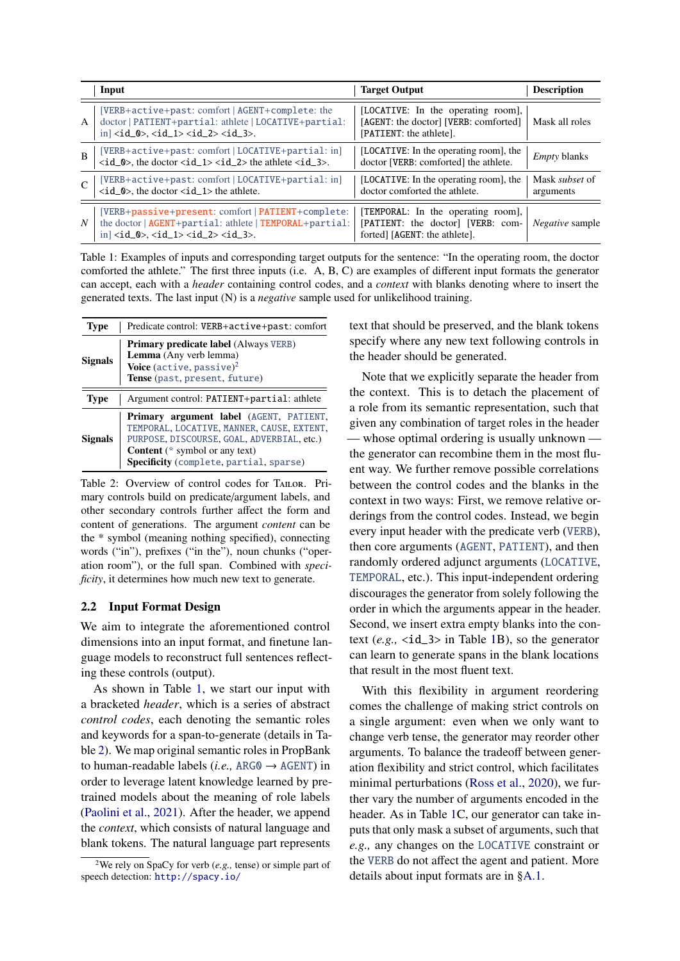<span id="page-2-1"></span>

|                | Input                                                                                                                                                                                                              | <b>Target Output</b>                                                                                     | <b>Description</b>                 |
|----------------|--------------------------------------------------------------------------------------------------------------------------------------------------------------------------------------------------------------------|----------------------------------------------------------------------------------------------------------|------------------------------------|
| $\mathsf{A}$   | [VERB+active+past: comfort   AGENT+complete: the<br>doctor   PATIENT+partial: athlete   LOCATIVE+partial:<br>$in \vert \langle id_0 \rangle, \langle id_1 \rangle \langle id_2 \rangle, \langle id_3 \rangle.$     | [LOCATIVE: In the operating room],<br>[AGENT: the doctor] [VERB: comforted]<br>[PATIENT: the athlete].   | Mask all roles                     |
| $\overline{B}$ | [VERB+active+past: comfort   LOCATIVE+partial: in]<br>$\langle id_0 \rangle$ , the doctor $\langle id_1 \rangle \langle id_2 \rangle$ the athlete $\langle id_3 \rangle$ .                                         | [LOCATIVE: In the operating room], the<br>doctor [VERB: comforted] the athlete.                          | <i>Empty</i> blanks                |
|                | [VERB+active+past: comfort   LOCATIVE+partial: in]<br>$\langle id_0 \rangle$ , the doctor $\langle id_1 \rangle$ the athlete.                                                                                      | [LOCATIVE: In the operating room], the<br>doctor comforted the athlete.                                  | Mask <i>subset</i> of<br>arguments |
| $N_{\rm}$      | [VERB+passive+present: comfort   PATIENT+complete:<br>the doctor   AGENT+partial: athlete   TEMPORAL+partial:<br>$in \vert \langle id_0 \rangle, \langle id_1 \rangle \langle id_2 \rangle, \langle id_3 \rangle.$ | [TEMPORAL: In the operating room],<br>[PATIENT: the doctor] [VERB: com-<br>forted] [AGENT: the athlete]. | <i>Negative</i> sample             |

Table 1: Examples of inputs and corresponding target outputs for the sentence: "In the operating room, the doctor comforted the athlete." The first three inputs (i.e. A, B, C) are examples of different input formats the generator can accept, each with a *header* containing control codes, and a *context* with blanks denoting where to insert the generated texts. The last input (N) is a *negative* sample used for unlikelihood training.

<span id="page-2-3"></span>

| <b>Type</b>    | Predicate control: VERB+active+past: comfort                                                                                                                                                                               |
|----------------|----------------------------------------------------------------------------------------------------------------------------------------------------------------------------------------------------------------------------|
| <b>Signals</b> | <b>Primary predicate label (Always VERB)</b><br>Lemma (Any verb lemma)<br>Voice (active, passive) <sup>2</sup><br>Tense (past. present, future)                                                                            |
| <b>Type</b>    | Argument control: PATIENT+partial: athlete                                                                                                                                                                                 |
| Signals        | Primary argument label (AGENT, PATIENT,<br>TEMPORAL, LOCATIVE, MANNER, CAUSE, EXTENT,<br>PURPOSE, DISCOURSE, GOAL, ADVERBIAL, etc.)<br><b>Content</b> ( $*$ symbol or any text)<br>Specificity (complete, partial, sparse) |

Table 2: Overview of control codes for TAILOR. Primary controls build on predicate/argument labels, and other secondary controls further affect the form and content of generations. The argument *content* can be the \* symbol (meaning nothing specified), connecting words ("in"), prefixes ("in the"), noun chunks ("operation room"), or the full span. Combined with *specificity*, it determines how much new text to generate.

#### <span id="page-2-0"></span>2.2 Input Format Design

We aim to integrate the aforementioned control dimensions into an input format, and finetune language models to reconstruct full sentences reflecting these controls (output).

As shown in Table [1,](#page-2-1) we start our input with a bracketed *header*, which is a series of abstract *control codes*, each denoting the semantic roles and keywords for a span-to-generate (details in Table [2\)](#page-2-3). We map original semantic roles in PropBank to human-readable labels (*i.e.,* ARG0 → AGENT) in order to leverage latent knowledge learned by pretrained models about the meaning of role labels [\(Paolini et al.,](#page-12-4) [2021\)](#page-12-4). After the header, we append the *context*, which consists of natural language and blank tokens. The natural language part represents

text that should be preserved, and the blank tokens specify where any new text following controls in the header should be generated.

Note that we explicitly separate the header from the context. This is to detach the placement of a role from its semantic representation, such that given any combination of target roles in the header — whose optimal ordering is usually unknown the generator can recombine them in the most fluent way. We further remove possible correlations between the control codes and the blanks in the context in two ways: First, we remove relative orderings from the control codes. Instead, we begin every input header with the predicate verb (VERB), then core arguments (AGENT, PATIENT), and then randomly ordered adjunct arguments (LOCATIVE, TEMPORAL, etc.). This input-independent ordering discourages the generator from solely following the order in which the arguments appear in the header. Second, we insert extra empty blanks into the context  $(e.g., \text{  in Table 1B})$  $(e.g., \text{  in Table 1B})$  $(e.g., \text{  in Table 1B})$ , so the generator can learn to generate spans in the blank locations that result in the most fluent text.

With this flexibility in argument reordering comes the challenge of making strict controls on a single argument: even when we only want to change verb tense, the generator may reorder other arguments. To balance the tradeoff between generation flexibility and strict control, which facilitates minimal perturbations [\(Ross et al.,](#page-13-0) [2020\)](#page-13-0), we further vary the number of arguments encoded in the header. As in Table [1C](#page-2-1), our generator can take inputs that only mask a subset of arguments, such that *e.g.,* any changes on the LOCATIVE constraint or the VERB do not affect the agent and patient. More details about input formats are in [§A.1.](#page-14-0)

<span id="page-2-2"></span><sup>2</sup>We rely on SpaCy for verb (*e.g.,* tense) or simple part of speech detection: <http://spacy.io/>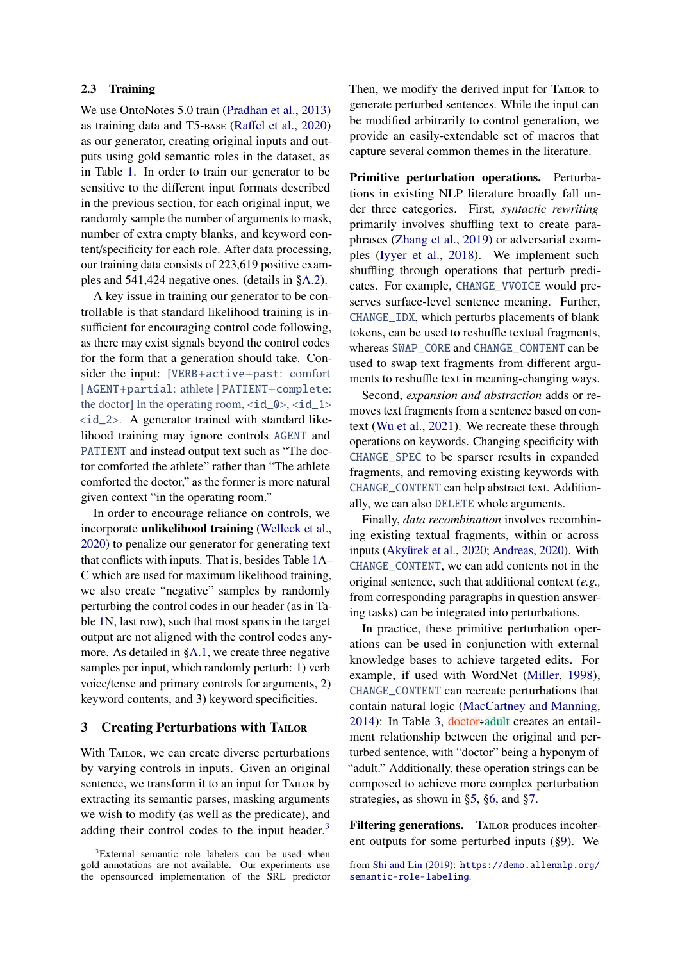#### <span id="page-3-1"></span>2.3 Training

We use OntoNotes 5.0 train [\(Pradhan et al.,](#page-12-5) [2013\)](#page-12-5) as training data and T5-base (Raff[el et al.,](#page-12-6) [2020\)](#page-12-6) as our generator, creating original inputs and outputs using gold semantic roles in the dataset, as in Table [1.](#page-2-1) In order to train our generator to be sensitive to the different input formats described in the previous section, for each original input, we randomly sample the number of arguments to mask, number of extra empty blanks, and keyword content/specificity for each role. After data processing, our training data consists of 223,619 positive examples and 541,424 negative ones. (details in [§A.2\)](#page-14-1).

A key issue in training our generator to be controllable is that standard likelihood training is insufficient for encouraging control code following, as there may exist signals beyond the control codes for the form that a generation should take. Consider the input: [VERB+active+past: comfort | AGENT+partial: athlete | PATIENT+complete: the doctor] In the operating room,  $\langle \text{id}_0 \rangle$ ,  $\langle \text{id}_1 \rangle$  $\langle \text{id}\_2 \rangle$ . A generator trained with standard likelihood training may ignore controls AGENT and PATIENT and instead output text such as "The doctor comforted the athlete" rather than "The athlete comforted the doctor," as the former is more natural given context "in the operating room."

In order to encourage reliance on controls, we incorporate unlikelihood training [\(Welleck et al.,](#page-13-3) [2020\)](#page-13-3) to penalize our generator for generating text that conflicts with inputs. That is, besides Table [1A](#page-2-1)– C which are used for maximum likelihood training, we also create "negative" samples by randomly perturbing the control codes in our header (as in Table [1N](#page-2-1), last row), such that most spans in the target output are not aligned with the control codes any-more. As detailed in [§A.1,](#page-14-0) we create three negative samples per input, which randomly perturb: 1) verb voice/tense and primary controls for arguments, 2) keyword contents, and 3) keyword specificities.

#### <span id="page-3-0"></span>3 Creating Perturbations with TAILOR

With TAILOR, we can create diverse perturbations by varying controls in inputs. Given an original sentence, we transform it to an input for TAILOR by extracting its semantic parses, masking arguments we wish to modify (as well as the predicate), and adding their control codes to the input header. $3$ 

Then, we modify the derived input for TAILOR to generate perturbed sentences. While the input can be modified arbitrarily to control generation, we provide an easily-extendable set of macros that capture several common themes in the literature.

Primitive perturbation operations. Perturbations in existing NLP literature broadly fall under three categories. First, *syntactic rewriting* primarily involves shuffling text to create paraphrases [\(Zhang et al.,](#page-13-4) [2019\)](#page-13-4) or adversarial examples [\(Iyyer et al.,](#page-11-4) [2018\)](#page-11-4). We implement such shuffling through operations that perturb predicates. For example, CHANGE\_VVOICE would preserves surface-level sentence meaning. Further, CHANGE\_IDX, which perturbs placements of blank tokens, can be used to reshuffle textual fragments, whereas SWAP\_CORE and CHANGE\_CONTENT can be used to swap text fragments from different arguments to reshuffle text in meaning-changing ways.

Second, *expansion and abstraction* adds or removes text fragments from a sentence based on context [\(Wu et al.,](#page-13-2) [2021\)](#page-13-2). We recreate these through operations on keywords. Changing specificity with CHANGE\_SPEC to be sparser results in expanded fragments, and removing existing keywords with CHANGE\_CONTENT can help abstract text. Additionally, we can also DELETE whole arguments.

Finally, *data recombination* involves recombining existing textual fragments, within or across inputs [\(Akyürek et al.,](#page-10-0) [2020;](#page-10-0) [Andreas,](#page-10-1) [2020\)](#page-10-1). With CHANGE\_CONTENT, we can add contents not in the original sentence, such that additional context (*e.g.,* from corresponding paragraphs in question answering tasks) can be integrated into perturbations.

In practice, these primitive perturbation operations can be used in conjunction with external knowledge bases to achieve targeted edits. For example, if used with WordNet [\(Miller,](#page-12-7) [1998\)](#page-12-7), CHANGE\_CONTENT can recreate perturbations that contain natural logic [\(MacCartney and Manning,](#page-12-8) [2014\)](#page-12-8): In Table [3,](#page-4-0) doctor<sup>+</sup>adult creates an entailment relationship between the original and perturbed sentence, with "doctor" being a hyponym of "adult." Additionally, these operation strings can be composed to achieve more complex perturbation strategies, as shown in [§5,](#page-5-0) [§6,](#page-7-1) and [§7.](#page-7-0)

Filtering generations. TAILOR produces incoherent outputs for some perturbed inputs ([§9\)](#page-9-0). We

<span id="page-3-2"></span><sup>3</sup>External semantic role labelers can be used when gold annotations are not available. Our experiments use the opensourced implementation of the SRL predictor

from [Shi and Lin](#page-13-5) [\(2019\)](#page-13-5): [https://demo.allennlp.org/](https://demo.allennlp.org/semantic-role-labeling) [semantic-role-labeling](https://demo.allennlp.org/semantic-role-labeling).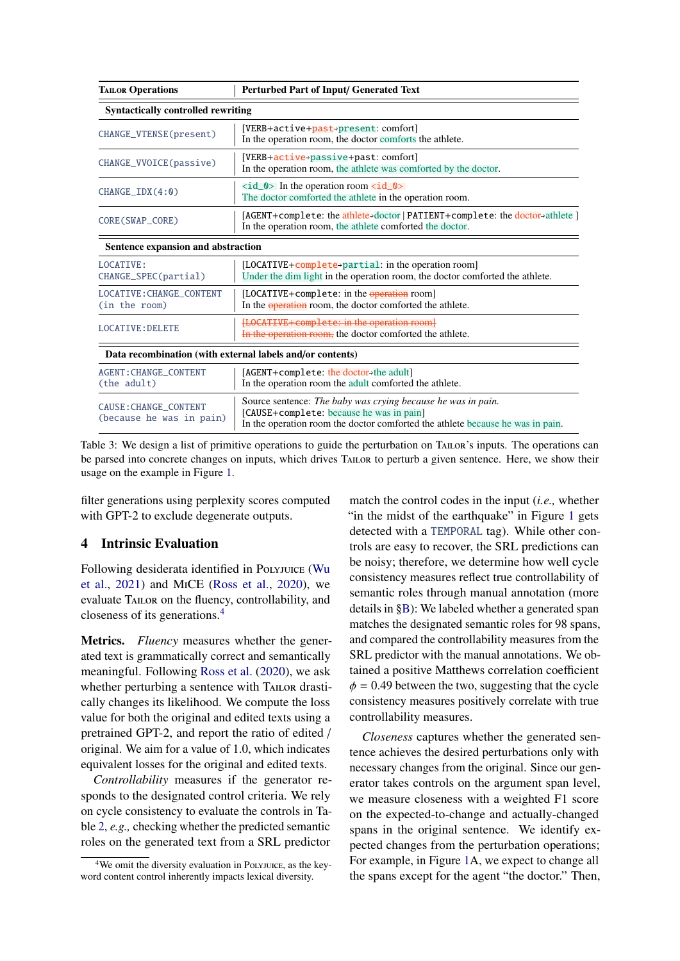<span id="page-4-0"></span>

| <b>TAILOR Operations</b>                                                                                                                                     | <b>Perturbed Part of Input/ Generated Text</b>                                                                                                                                             |  |  |  |  |
|--------------------------------------------------------------------------------------------------------------------------------------------------------------|--------------------------------------------------------------------------------------------------------------------------------------------------------------------------------------------|--|--|--|--|
| <b>Syntactically controlled rewriting</b>                                                                                                                    |                                                                                                                                                                                            |  |  |  |  |
| CHANGE_VTENSE(present)                                                                                                                                       | [VERB+active+past+present: comfort]<br>In the operation room, the doctor comforts the athlete.                                                                                             |  |  |  |  |
| CHANGE_VVOICE(passive)                                                                                                                                       | [VERB+active+passive+past: comfort]<br>In the operation room, the athlete was comforted by the doctor.                                                                                     |  |  |  |  |
| CHANGEIDX(4:0)                                                                                                                                               | $\langle \text{id}_\text{S} \rangle$ In the operation room $\langle \text{id}_\text{S} \rangle$<br>The doctor comforted the athlete in the operation room.                                 |  |  |  |  |
| [AGENT+complete: the athlete>doctor   PATIENT+complete: the doctor>athlete ]<br>CORE (SWAP_CORE)<br>In the operation room, the athlete comforted the doctor. |                                                                                                                                                                                            |  |  |  |  |
| Sentence expansion and abstraction                                                                                                                           |                                                                                                                                                                                            |  |  |  |  |
| <b>LOCATTVE:</b><br>CHANGE_SPEC(partial)                                                                                                                     | [LOCATIVE+complete+partial: in the operation room]<br>Under the dim light in the operation room, the doctor comforted the athlete.                                                         |  |  |  |  |
| <b>LOCATIVE: CHANGE CONTENT</b><br>(in the room)                                                                                                             | [LOCATIVE+complete: in the operation room]<br>In the <b>operation</b> room, the doctor comforted the athlete.                                                                              |  |  |  |  |
| <b>LOCATIVE: DELETE</b>                                                                                                                                      | [LOCATIVE+complete: in the operation room]<br>In the operation room, the doctor comforted the athlete.                                                                                     |  |  |  |  |
| Data recombination (with external labels and/or contents)                                                                                                    |                                                                                                                                                                                            |  |  |  |  |
| <b>AGENT: CHANGE_CONTENT</b><br>(the adult)                                                                                                                  | [AGENT+complete: the doctor>the adult]<br>In the operation room the adult comforted the athlete.                                                                                           |  |  |  |  |
| CAUSE: CHANGE_CONTENT<br>(because he was in pain)                                                                                                            | Source sentence: The baby was crying because he was in pain.<br>[CAUSE+complete: because he was in pain]<br>In the operation room the doctor comforted the athlete because he was in pain. |  |  |  |  |

Table 3: We design a list of primitive operations to guide the perturbation on TAILOR's inputs. The operations can be parsed into concrete changes on inputs, which drives Tailor to perturb a given sentence. Here, we show their usage on the example in Figure [1.](#page-0-1)

filter generations using perplexity scores computed with GPT-2 to exclude degenerate outputs.

## <span id="page-4-2"></span>4 Intrinsic Evaluation

Following desiderata identified in Polyjuice [\(Wu](#page-13-2) [et al.,](#page-13-2) [2021\)](#page-13-2) and MiCE [\(Ross et al.,](#page-13-0) [2020\)](#page-13-0), we evaluate Tailor on the fluency, controllability, and closeness of its generations.[4](#page-4-1)

Metrics. *Fluency* measures whether the generated text is grammatically correct and semantically meaningful. Following [Ross et al.](#page-13-0) [\(2020\)](#page-13-0), we ask whether perturbing a sentence with TAILOR drastically changes its likelihood. We compute the loss value for both the original and edited texts using a pretrained GPT-2, and report the ratio of edited / original. We aim for a value of 1.0, which indicates equivalent losses for the original and edited texts.

*Controllability* measures if the generator responds to the designated control criteria. We rely on cycle consistency to evaluate the controls in Table [2,](#page-2-3) *e.g.,* checking whether the predicted semantic roles on the generated text from a SRL predictor

match the control codes in the input (*i.e.,* whether "in the midst of the earthquake" in Figure [1](#page-0-1) gets detected with a TEMPORAL tag). While other controls are easy to recover, the SRL predictions can be noisy; therefore, we determine how well cycle consistency measures reflect true controllability of semantic roles through manual annotation (more details in [§B\)](#page-15-0): We labeled whether a generated span matches the designated semantic roles for 98 spans, and compared the controllability measures from the SRL predictor with the manual annotations. We obtained a positive Matthews correlation coefficient  $\phi$  = 0.49 between the two, suggesting that the cycle consistency measures positively correlate with true controllability measures.

*Closeness* captures whether the generated sentence achieves the desired perturbations only with necessary changes from the original. Since our generator takes controls on the argument span level, we measure closeness with a weighted F1 score on the expected-to-change and actually-changed spans in the original sentence. We identify expected changes from the perturbation operations; For example, in Figure [1A](#page-0-1), we expect to change all the spans except for the agent "the doctor." Then,

<span id="page-4-1"></span><sup>&</sup>lt;sup>4</sup>We omit the diversity evaluation in Polyjuice, as the keyword content control inherently impacts lexical diversity.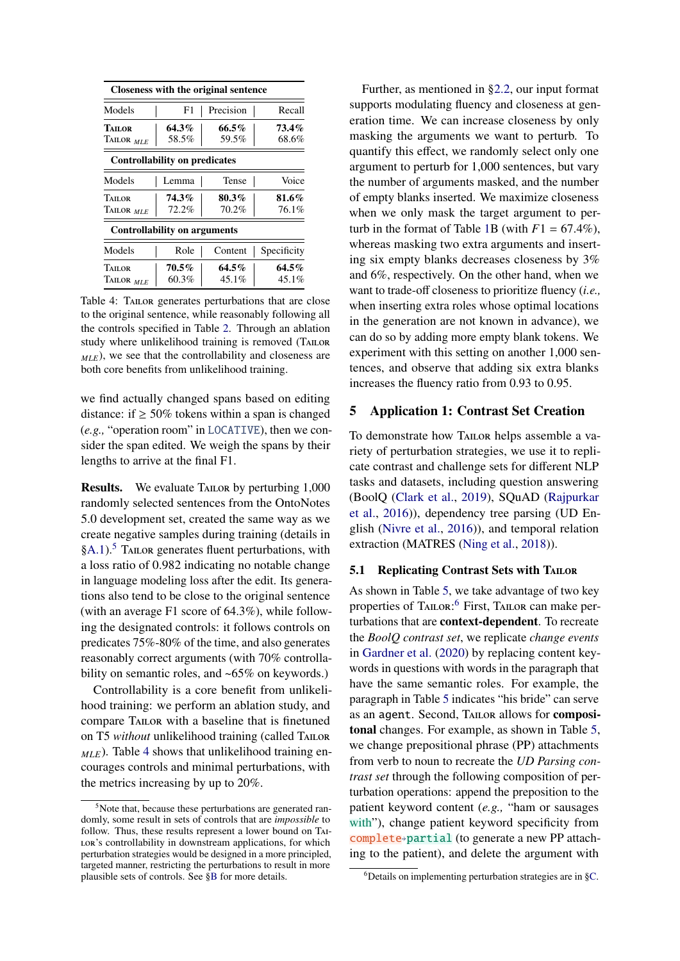<span id="page-5-2"></span>

|                                      |          | Closeness with the original sentence |             |
|--------------------------------------|----------|--------------------------------------|-------------|
| Models                               | F1       | Precision                            | Recall      |
| <b>TAILOR</b>                        | 64.3%    | 66.5%                                | 73.4%       |
| TAILOR MLE                           | 58.5%    | 68.6%                                |             |
| <b>Controllability on predicates</b> |          |                                      |             |
| Models                               | Lemma    | Tense                                | Voice       |
| <b>TAILOR</b>                        | 74.3%    | 80.3%                                | 81.6%       |
| TAILOR MLE                           | 72.2%    | 70.2%                                | 76.1%       |
| <b>Controllability on arguments</b>  |          |                                      |             |
| Models                               | Role     | Content                              | Specificity |
| <b>TAILOR</b>                        | 70.5%    | $64.5\%$                             | $64.5\%$    |
| TAILOR $_{MLE}$                      | $60.3\%$ | 45.1%                                | 45.1%       |

Table 4: TAILOR generates perturbations that are close to the original sentence, while reasonably following all the controls specified in Table [2.](#page-2-3) Through an ablation study where unlikelihood training is removed (TAILOR *MLE*), we see that the controllability and closeness are both core benefits from unlikelihood training.

we find actually changed spans based on editing distance: if  $\geq 50\%$  tokens within a span is changed (*e.g.,* "operation room" in LOCATIVE), then we consider the span edited. We weigh the spans by their lengths to arrive at the final F1.

Results. We evaluate TAILOR by perturbing 1,000 randomly selected sentences from the OntoNotes 5.0 development set, created the same way as we create negative samples during training (details in  $\S A.1$ ).<sup>[5](#page-5-1)</sup> TAILOR generates fluent perturbations, with a loss ratio of 0.982 indicating no notable change in language modeling loss after the edit. Its generations also tend to be close to the original sentence (with an average F1 score of <sup>64</sup>.3%), while following the designated controls: it follows controls on predicates 75%-80% of the time, and also generates reasonably correct arguments (with 70% controllability on semantic roles, and ~65% on keywords.)

Controllability is a core benefit from unlikelihood training: we perform an ablation study, and compare TAILOR with a baseline that is finetuned on T5 *without* unlikelihood training (called TAILOR  $_{MLE}$ ). Table [4](#page-5-2) shows that unlikelihood training encourages controls and minimal perturbations, with the metrics increasing by up to 20%.

Further, as mentioned in [§2.2,](#page-2-0) our input format supports modulating fluency and closeness at generation time. We can increase closeness by only masking the arguments we want to perturb. To quantify this effect, we randomly select only one argument to perturb for 1,000 sentences, but vary the number of arguments masked, and the number of empty blanks inserted. We maximize closeness when we only mask the target argument to per-turb in the format of Table [1B](#page-2-1) (with  $F1 = 67.4\%$ ), whereas masking two extra arguments and inserting six empty blanks decreases closeness by 3% and 6%, respectively. On the other hand, when we want to trade-off closeness to prioritize fluency (*i.e.,* when inserting extra roles whose optimal locations in the generation are not known in advance), we can do so by adding more empty blank tokens. We experiment with this setting on another 1,000 sentences, and observe that adding six extra blanks increases the fluency ratio from 0.93 to 0.95.

## <span id="page-5-0"></span>5 Application 1: Contrast Set Creation

To demonstrate how Tailor helps assemble a variety of perturbation strategies, we use it to replicate contrast and challenge sets for different NLP tasks and datasets, including question answering (BoolQ [\(Clark et al.,](#page-10-2) [2019\)](#page-10-2), SQuAD [\(Rajpurkar](#page-12-9) [et al.,](#page-12-9) [2016\)](#page-12-9)), dependency tree parsing (UD English [\(Nivre et al.,](#page-12-10) [2016\)](#page-12-10)), and temporal relation extraction (MATRES [\(Ning et al.,](#page-12-11) [2018\)](#page-12-11)).

## 5.1 Replicating Contrast Sets with TAILOR

As shown in Table [5,](#page-6-0) we take advantage of two key properties of TAILOR:<sup>[6](#page-5-3)</sup> First, TAILOR can make perturbations that are context-dependent. To recreate the *BoolQ contrast set*, we replicate *change events* in [Gardner et al.](#page-11-5) [\(2020\)](#page-11-5) by replacing content keywords in questions with words in the paragraph that have the same semantic roles. For example, the paragraph in Table [5](#page-6-0) indicates "his bride" can serve as an agent. Second, TAILOR allows for compositonal changes. For example, as shown in Table [5,](#page-6-0) we change prepositional phrase (PP) attachments from verb to noun to recreate the *UD Parsing contrast set* through the following composition of perturbation operations: append the preposition to the patient keyword content (*e.g.,* "ham or sausages with"), change patient keyword specificity from complete✮partial (to generate a new PP attaching to the patient), and delete the argument with

<span id="page-5-1"></span><sup>&</sup>lt;sup>5</sup>Note that, because these perturbations are generated randomly, some result in sets of controls that are *impossible* to follow. Thus, these results represent a lower bound on Tai-LOR's controllability in downstream applications, for which perturbation strategies would be designed in a more principled, targeted manner, restricting the perturbations to result in more plausible sets of controls. See [§B](#page-15-0) for more details.

<span id="page-5-3"></span> $6$ Details on implementing perturbation strategies are in [§C.](#page-15-1)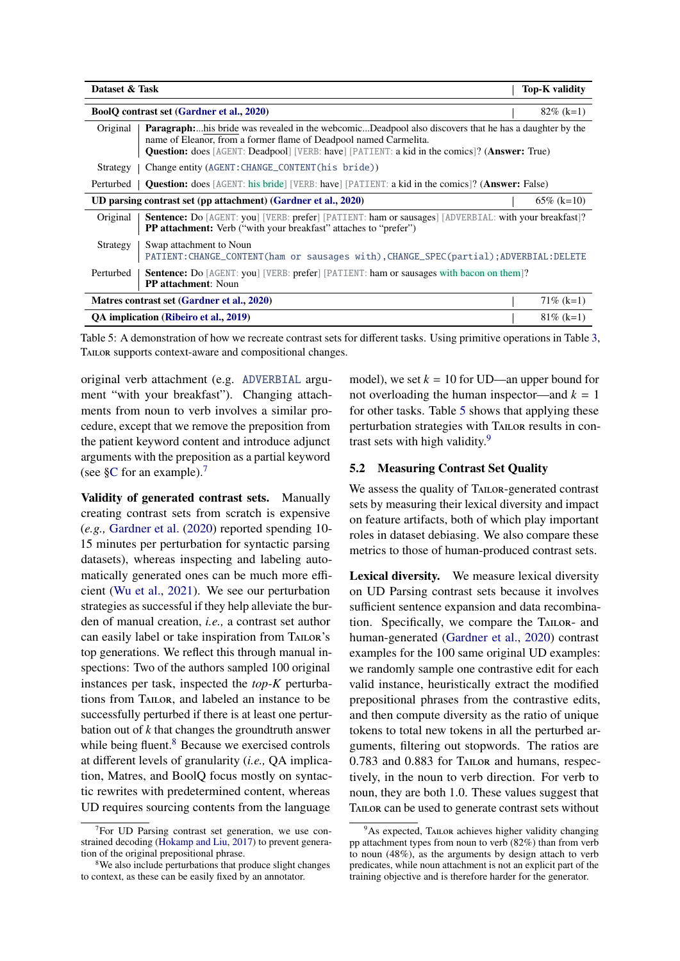<span id="page-6-0"></span>

| Dataset & Task | Top-K validity                                                                                                                                                                                                                                                                            |               |
|----------------|-------------------------------------------------------------------------------------------------------------------------------------------------------------------------------------------------------------------------------------------------------------------------------------------|---------------|
|                | <b>BoolQ</b> contrast set (Gardner et al., 2020)                                                                                                                                                                                                                                          | $82\%$ (k=1)  |
| Original       | <b>Paragraph:</b> his bride was revealed in the webcomicDeadpool also discovers that he has a daughter by the<br>name of Eleanor, from a former flame of Deadpool named Carmelita.<br><b>Question:</b> does [AGENT: Deadpool] [VERB: have] [PATIENT: a kid in the comics]? (Answer: True) |               |
| Strategy       | Change entity (AGENT: CHANGE_CONTENT (his bride))                                                                                                                                                                                                                                         |               |
| Perturbed      | <b>Question:</b> does [AGENT: his bride] [VERB: have] [PATIENT: a kid in the comics]? ( <b>Answer:</b> False)                                                                                                                                                                             |               |
|                | UD parsing contrast set (pp attachment) (Gardner et al., 2020)                                                                                                                                                                                                                            | $65\%$ (k=10) |
| Original       | Sentence: Do [AGENT: you] [VERB: prefer] [PATIENT: ham or sausages] [ADVERBIAL: with your breakfast]?<br><b>PP attachment:</b> Verb ("with your breakfast" attaches to "prefer")                                                                                                          |               |
| Strategy       | Swap attachment to Noun<br>PATIENT: CHANGE_CONTENT(ham or sausages with), CHANGE_SPEC(partial); ADVERBIAL: DELETE                                                                                                                                                                         |               |
| Perturbed      | <b>Sentence:</b> Do [AGENT: you] [VERB: prefer] [PATIENT: ham or sausages with bacon on them]?<br><b>PP</b> attachment: Noun                                                                                                                                                              |               |
|                | Matres contrast set (Gardner et al., 2020)                                                                                                                                                                                                                                                | $71\%$ (k=1)  |
|                | QA implication (Ribeiro et al., 2019)                                                                                                                                                                                                                                                     | $81\%$ (k=1)  |

Table 5: A demonstration of how we recreate contrast sets for different tasks. Using primitive operations in Table [3,](#page-4-0) TAILOR supports context-aware and compositional changes.

original verb attachment (e.g. ADVERBIAL argument "with your breakfast"). Changing attachments from noun to verb involves a similar procedure, except that we remove the preposition from the patient keyword content and introduce adjunct arguments with the preposition as a partial keyword (see  $\S$ C for an example).<sup>[7](#page-6-1)</sup>

Validity of generated contrast sets. Manually creating contrast sets from scratch is expensive (*e.g.,* [Gardner et al.](#page-11-5) [\(2020\)](#page-11-5) reported spending 10- 15 minutes per perturbation for syntactic parsing datasets), whereas inspecting and labeling automatically generated ones can be much more efficient [\(Wu et al.,](#page-13-2) [2021\)](#page-13-2). We see our perturbation strategies as successful if they help alleviate the burden of manual creation, *i.e.,* a contrast set author can easily label or take inspiration from TAILOR's top generations. We reflect this through manual inspections: Two of the authors sampled 100 original instances per task, inspected the *top-K* perturbations from Tailor, and labeled an instance to be successfully perturbed if there is at least one perturbation out of *k* that changes the groundtruth answer while being fluent.<sup>[8](#page-6-2)</sup> Because we exercised controls at different levels of granularity (*i.e.,* QA implication, Matres, and BoolQ focus mostly on syntactic rewrites with predetermined content, whereas UD requires sourcing contents from the language

model), we set  $k = 10$  for UD—an upper bound for not overloading the human inspector—and  $k = 1$ for other tasks. Table [5](#page-6-0) shows that applying these perturbation strategies with Tailor results in contrast sets with high validity.[9](#page-6-3)

## 5.2 Measuring Contrast Set Quality

We assess the quality of TAILOR-generated contrast sets by measuring their lexical diversity and impact on feature artifacts, both of which play important roles in dataset debiasing. We also compare these metrics to those of human-produced contrast sets.

Lexical diversity. We measure lexical diversity on UD Parsing contrast sets because it involves sufficient sentence expansion and data recombination. Specifically, we compare the TAILOR- and human-generated [\(Gardner et al.,](#page-11-5) [2020\)](#page-11-5) contrast examples for the 100 same original UD examples: we randomly sample one contrastive edit for each valid instance, heuristically extract the modified prepositional phrases from the contrastive edits, and then compute diversity as the ratio of unique tokens to total new tokens in all the perturbed arguments, filtering out stopwords. The ratios are 0.783 and 0.883 for Tailor and humans, respectively, in the noun to verb direction. For verb to noun, they are both 1.0. These values suggest that Tailor can be used to generate contrast sets without

<span id="page-6-1"></span> $7$ For UD Parsing contrast set generation, we use constrained decoding [\(Hokamp and Liu,](#page-11-6) [2017\)](#page-11-6) to prevent generation of the original prepositional phrase.

<span id="page-6-2"></span><sup>&</sup>lt;sup>8</sup>We also include perturbations that produce slight changes to context, as these can be easily fixed by an annotator.

<span id="page-6-3"></span> $9As$  expected, TAILOR achieves higher validity changing pp attachment types from noun to verb (82%) than from verb to noun (48%), as the arguments by design attach to verb predicates, while noun attachment is not an explicit part of the training objective and is therefore harder for the generator.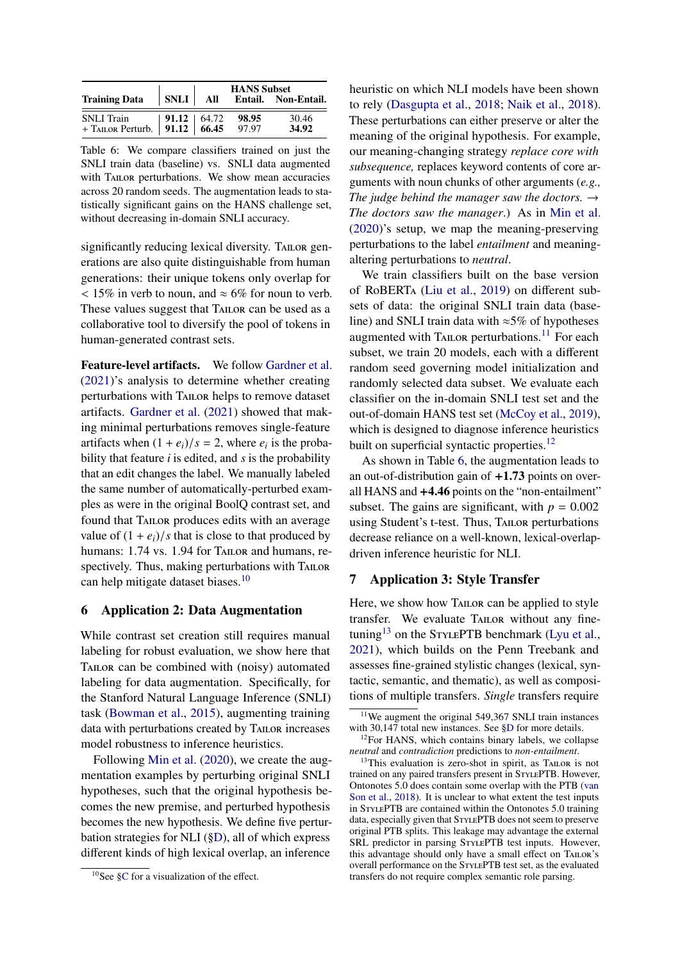<span id="page-7-5"></span>

|                                                                 |              | <b>HANS Subset</b> |                |                     |
|-----------------------------------------------------------------|--------------|--------------------|----------------|---------------------|
| <b>Training Data</b>                                            | $SNLI$   All |                    |                | Entail. Non-Entail. |
| SNLI Train   91.12   64.72<br>+ TAILOR Perturb.   91.12   66.45 |              |                    | 98.95<br>97.97 | 30.46<br>34.92      |

Table 6: We compare classifiers trained on just the SNLI train data (baseline) vs. SNLI data augmented with TAILOR perturbations. We show mean accuracies across 20 random seeds. The augmentation leads to statistically significant gains on the HANS challenge set, without decreasing in-domain SNLI accuracy.

significantly reducing lexical diversity. TAILOR generations are also quite distinguishable from human generations: their unique tokens only overlap for  $15\%$  in verb to noun, and  $\approx 6\%$  for noun to verb. These values suggest that TAILOR can be used as a collaborative tool to diversify the pool of tokens in human-generated contrast sets.

Feature-level artifacts. We follow [Gardner et al.](#page-11-0) [\(2021\)](#page-11-0)'s analysis to determine whether creating perturbations with Tailor helps to remove dataset artifacts. [Gardner et al.](#page-11-0) [\(2021\)](#page-11-0) showed that making minimal perturbations removes single-feature artifacts when  $(1 + e_i)/s = 2$ , where  $e_i$  is the proba-<br>bility that feature *i* is edited, and *s* is the probability bility that feature *i* is edited, and *s* is the probability that an edit changes the label. We manually labeled the same number of automatically-perturbed examples as were in the original BoolQ contrast set, and found that Tailor produces edits with an average value of  $(1 + e_i)/s$  that is close to that produced by humans: 1.74 vs. 1.94 for TAILOR and humans, respectively. Thus, making perturbations with TAILOR can help mitigate dataset biases.[10](#page-7-2)

## <span id="page-7-1"></span>6 Application 2: Data Augmentation

While contrast set creation still requires manual labeling for robust evaluation, we show here that Tailor can be combined with (noisy) automated labeling for data augmentation. Specifically, for the Stanford Natural Language Inference (SNLI) task [\(Bowman et al.,](#page-10-3) [2015\)](#page-10-3), augmenting training data with perturbations created by TAILOR increases model robustness to inference heuristics.

Following [Min et al.](#page-12-13) [\(2020\)](#page-12-13), we create the augmentation examples by perturbing original SNLI hypotheses, such that the original hypothesis becomes the new premise, and perturbed hypothesis becomes the new hypothesis. We define five perturbation strategies for NLI ([§D\)](#page-15-2), all of which express different kinds of high lexical overlap, an inference

heuristic on which NLI models have been shown to rely [\(Dasgupta et al.,](#page-10-4) [2018;](#page-10-4) [Naik et al.,](#page-12-14) [2018\)](#page-12-14). These perturbations can either preserve or alter the meaning of the original hypothesis. For example, our meaning-changing strategy *replace core with subsequence,* replaces keyword contents of core arguments with noun chunks of other arguments (*e.g., The judge behind the manager saw the doctors.*  $\rightarrow$ *The doctors saw the manager*.) As in [Min et al.](#page-12-13) [\(2020\)](#page-12-13)'s setup, we map the meaning-preserving perturbations to the label *entailment* and meaningaltering perturbations to *neutral*.

We train classifiers built on the base version of RoBERTa [\(Liu et al.,](#page-11-7) [2019\)](#page-11-7) on different subsets of data: the original SNLI train data (baseline) and SNLI train data with ≈5% of hypotheses augmented with TAILOR perturbations.<sup>[11](#page-7-3)</sup> For each subset, we train 20 models, each with a different random seed governing model initialization and randomly selected data subset. We evaluate each classifier on the in-domain SNLI test set and the out-of-domain HANS test set [\(McCoy et al.,](#page-12-3) [2019\)](#page-12-3), which is designed to diagnose inference heuristics built on superficial syntactic properties.<sup>[12](#page-7-4)</sup>

As shown in Table [6,](#page-7-5) the augmentation leads to an out-of-distribution gain of  $+1.73$  points on overall HANS and +4.46 points on the "non-entailment" subset. The gains are significant, with  $p = 0.002$ using Student's t-test. Thus, TAILOR perturbations decrease reliance on a well-known, lexical-overlapdriven inference heuristic for NLI.

#### <span id="page-7-0"></span>7 Application 3: Style Transfer

Here, we show how Tailor can be applied to style transfer. We evaluate TAILOR without any fine-tuning<sup>[13](#page-7-6)</sup> on the STYLEPTB benchmark [\(Lyu et al.,](#page-11-2) [2021\)](#page-11-2), which builds on the Penn Treebank and assesses fine-grained stylistic changes (lexical, syntactic, semantic, and thematic), as well as compositions of multiple transfers. *Single* transfers require

<span id="page-7-2"></span><sup>10</sup>See [§C](#page-15-1) for a visualization of the effect.

<span id="page-7-3"></span><sup>&</sup>lt;sup>11</sup>We augment the original 549,367 SNLI train instances with 30,147 total new instances. See [§D](#page-15-2) for more details.

<span id="page-7-4"></span> $12$ For HANS, which contains binary labels, we collapse *neutral* and *contradiction* predictions to *non-entailment*.

<span id="page-7-6"></span><sup>&</sup>lt;sup>13</sup>This evaluation is zero-shot in spirit, as TAILOR is not trained on any paired transfers present in STYLEPTB. However, Ontonotes 5.0 does contain some overlap with the PTB [\(van](#page-13-6) [Son et al.,](#page-13-6) [2018\)](#page-13-6). It is unclear to what extent the test inputs in StylePTB are contained within the Ontonotes 5.0 training data, especially given that STYLEPTB does not seem to preserve original PTB splits. This leakage may advantage the external SRL predictor in parsing STYLEPTB test inputs. However, this advantage should only have a small effect on TAILOR's overall performance on the StylePTB test set, as the evaluated transfers do not require complex semantic role parsing.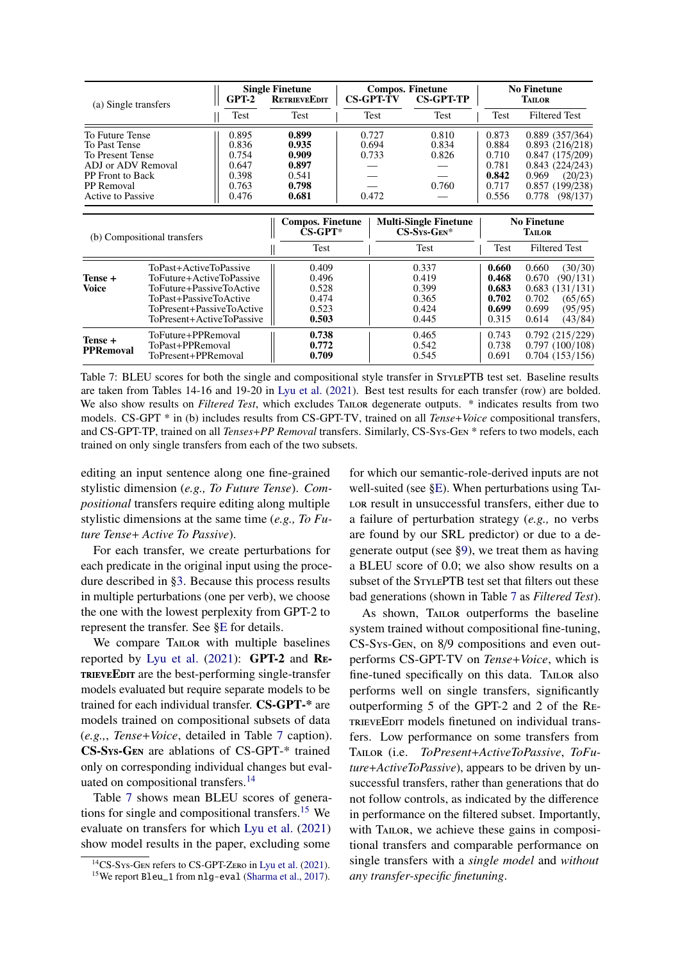<span id="page-8-0"></span>

| (a) Single transfers                                                                                                                                                                                           |                                                                                                                                                                    | <b>Single Finetune</b><br>$GPT-2$<br><b>RETRIEVEEDIT</b>    |                                                    | <b>Compos. Finetune</b><br><b>CS-GPT-TV</b><br><b>CS-GPT-TP</b> |                                  | <b>No Finetune</b><br><b>TAILOR</b>                                                                                                                                                             |                                                    |                                                                                                                     |
|----------------------------------------------------------------------------------------------------------------------------------------------------------------------------------------------------------------|--------------------------------------------------------------------------------------------------------------------------------------------------------------------|-------------------------------------------------------------|----------------------------------------------------|-----------------------------------------------------------------|----------------------------------|-------------------------------------------------------------------------------------------------------------------------------------------------------------------------------------------------|----------------------------------------------------|---------------------------------------------------------------------------------------------------------------------|
|                                                                                                                                                                                                                |                                                                                                                                                                    | Test                                                        | Test                                               |                                                                 | Test                             | Test                                                                                                                                                                                            | Test                                               | <b>Filtered Test</b>                                                                                                |
| 0.895<br>To Future Tense<br>0.836<br><b>To Past Tense</b><br>To Present Tense<br>0.754<br>ADJ or ADV Removal<br>0.647<br>PP Front to Back<br>0.398<br><b>PP</b> Removal<br>0.763<br>0.476<br>Active to Passive |                                                                                                                                                                    | 0.899<br>0.935<br>0.909<br>0.897<br>0.541<br>0.798<br>0.681 | 0.727<br>0.694<br>0.733<br>0.472                   |                                                                 | 0.810<br>0.834<br>0.826<br>0.760 | 0.873<br>0.889(357/364)<br>0.884<br>0.893(216/218)<br>0.847(175/209)<br>0.710<br>0.843(224/243)<br>0.781<br>0.842<br>0.969<br>(20/23)<br>0.717<br>0.857 (199/238)<br>0.556<br>0.778<br>(98/137) |                                                    |                                                                                                                     |
|                                                                                                                                                                                                                | (b) Compositional transfers                                                                                                                                        |                                                             | <b>Compos. Finetune</b><br>$CS-GPT^*$<br>Test      |                                                                 |                                  | <b>Multi-Single Finetune</b><br>$CS$ -Sys-Gen*<br>Test                                                                                                                                          | Test                                               | <b>No Finetune</b><br><b>TAILOR</b><br><b>Filtered Test</b>                                                         |
| Tense +<br><b>Voice</b>                                                                                                                                                                                        | ToPast+ActiveToPassive<br>ToFuture+ActiveToPassive<br>ToFuture+PassiveToActive<br>ToPast+PassiveToActive<br>ToPresent+PassiveToActive<br>ToPresent+ActiveToPassive |                                                             | 0.409<br>0.496<br>0.528<br>0.474<br>0.523<br>0.503 |                                                                 |                                  | 0.337<br>0.419<br>0.399<br>0.365<br>0.424<br>0.445                                                                                                                                              | 0.660<br>0.468<br>0.683<br>0.702<br>0.699<br>0.315 | 0.660<br>(30/30)<br>0.670<br>(90/131)<br>0.683(131/131)<br>0.702<br>(65/65)<br>0.699<br>(95/95)<br>0.614<br>(43/84) |
| Tense +<br><b>PPRemoval</b>                                                                                                                                                                                    | ToFuture+PPRemoval<br>ToPast+PPRemoval<br>ToPresent+PPRemoval                                                                                                      |                                                             | 0.738<br>0.772<br>0.709                            |                                                                 |                                  | 0.465<br>0.542<br>0.545                                                                                                                                                                         | 0.743<br>0.738<br>0.691                            | 0.792(215/229)<br>0.797(100/108)<br>0.704(153/156)                                                                  |

Table 7: BLEU scores for both the single and compositional style transfer in STYLEPTB test set. Baseline results are taken from Tables 14-16 and 19-20 in [Lyu et al.](#page-11-2) [\(2021\)](#page-11-2). Best test results for each transfer (row) are bolded. We also show results on *Filtered Test*, which excludes TAILOR degenerate outputs. \* indicates results from two models. CS-GPT \* in (b) includes results from CS-GPT-TV, trained on all *Tense*+*Voice* compositional transfers, and CS-GPT-TP, trained on all *Tenses*+*PP Removal* transfers. Similarly, CS-Sys-Gen \* refers to two models, each trained on only single transfers from each of the two subsets.

editing an input sentence along one fine-grained stylistic dimension (*e.g., To Future Tense*). *Compositional* transfers require editing along multiple stylistic dimensions at the same time (*e.g., To Future Tense*+ *Active To Passive*).

For each transfer, we create perturbations for each predicate in the original input using the procedure described in [§3.](#page-3-0) Because this process results in multiple perturbations (one per verb), we choose the one with the lowest perplexity from GPT-2 to represent the transfer. See [§E](#page-16-0) for details.

We compare TAILOR with multiple baselines reported by [Lyu et al.](#page-11-2) [\(2021\)](#page-11-2): GPT-2 and Re-TRIEVEEDIT are the best-performing single-transfer models evaluated but require separate models to be trained for each individual transfer. CS-GPT-\* are models trained on compositional subsets of data (*e.g.,*, *Tense*+*Voice*, detailed in Table [7](#page-8-0) caption). CS-Sys-Gen are ablations of CS-GPT-\* trained only on corresponding individual changes but eval-uated on compositional transfers.<sup>[14](#page-8-1)</sup>

Table [7](#page-8-0) shows mean BLEU scores of genera-tions for single and compositional transfers.<sup>[15](#page-8-2)</sup> We evaluate on transfers for which [Lyu et al.](#page-11-2) [\(2021\)](#page-11-2) show model results in the paper, excluding some

for which our semantic-role-derived inputs are not well-suited (see [§E\)](#page-16-0). When perturbations using Tai-LOR result in unsuccessful transfers, either due to a failure of perturbation strategy (*e.g.,* no verbs are found by our SRL predictor) or due to a degenerate output (see [§9\)](#page-9-0), we treat them as having a BLEU score of 0.0; we also show results on a subset of the STYLEPTB test set that filters out these bad generations (shown in Table [7](#page-8-0) as *Filtered Test*).

As shown, TAILOR outperforms the baseline system trained without compositional fine-tuning, CS-Sys-Gen, on 8/9 compositions and even outperforms CS-GPT-TV on *Tense*+*Voice*, which is fine-tuned specifically on this data. TAILOR also performs well on single transfers, significantly outperforming 5 of the GPT-2 and 2 of the Re-TRIEVEEDIT models finetuned on individual transfers. Low performance on some transfers from Tailor (i.e. *ToPresent*+*ActiveToPassive*, *ToFuture*+*ActiveToPassive*), appears to be driven by unsuccessful transfers, rather than generations that do not follow controls, as indicated by the difference in performance on the filtered subset. Importantly, with TAILOR, we achieve these gains in compositional transfers and comparable performance on single transfers with a *single model* and *without any transfer-specific finetuning*.

<span id="page-8-1"></span> $14$ CS-Sys-Gen refers to CS-GPT-Zero in [Lyu et al.](#page-11-2) [\(2021\)](#page-11-2).

<span id="page-8-2"></span><sup>15</sup>We report Bleu\_1 from nlg-eval [\(Sharma et al.,](#page-13-7) [2017\)](#page-13-7).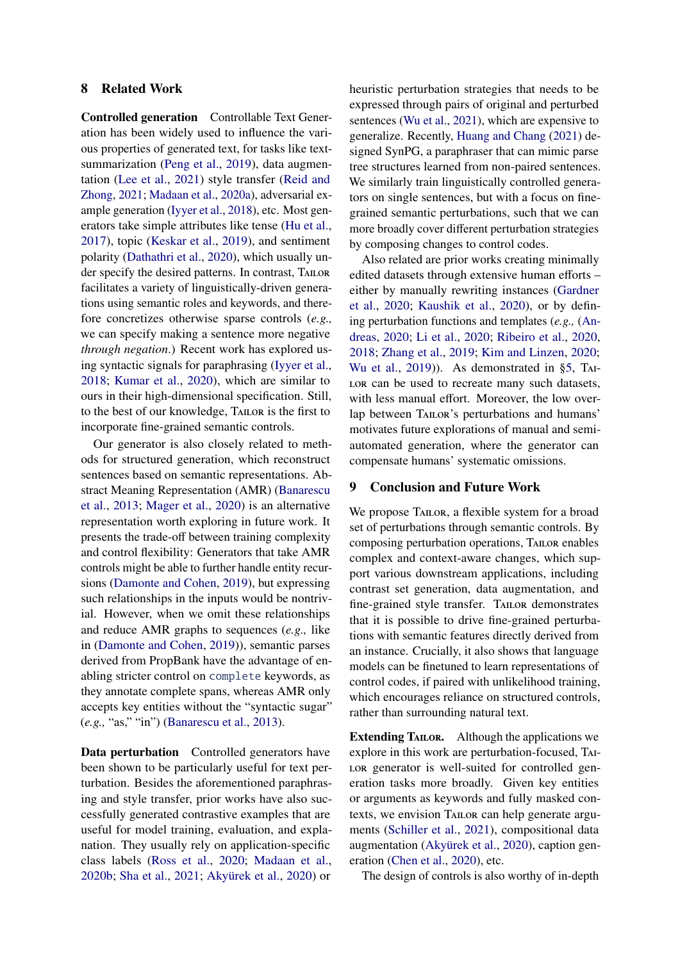## <span id="page-9-1"></span>8 Related Work

Controlled generation Controllable Text Generation has been widely used to influence the various properties of generated text, for tasks like textsummarization [\(Peng et al.,](#page-12-15) [2019\)](#page-12-15), data augmentation [\(Lee et al.,](#page-11-8) [2021\)](#page-11-8) style transfer [\(Reid and](#page-12-0) [Zhong,](#page-12-0) [2021;](#page-12-0) [Madaan et al.,](#page-12-16) [2020a\)](#page-12-16), adversarial example generation [\(Iyyer et al.,](#page-11-4) [2018\)](#page-11-4), etc. Most generators take simple attributes like tense [\(Hu et al.,](#page-11-9) [2017\)](#page-11-9), topic [\(Keskar et al.,](#page-11-10) [2019\)](#page-11-10), and sentiment polarity [\(Dathathri et al.,](#page-10-5) [2020\)](#page-10-5), which usually under specify the desired patterns. In contrast, TAILOR facilitates a variety of linguistically-driven generations using semantic roles and keywords, and therefore concretizes otherwise sparse controls (*e.g.,* we can specify making a sentence more negative *through negation*.) Recent work has explored using syntactic signals for paraphrasing [\(Iyyer et al.,](#page-11-4) [2018;](#page-11-4) [Kumar et al.,](#page-11-11) [2020\)](#page-11-11), which are similar to ours in their high-dimensional specification. Still, to the best of our knowledge, Tailor is the first to incorporate fine-grained semantic controls.

Our generator is also closely related to methods for structured generation, which reconstruct sentences based on semantic representations. Abstract Meaning Representation (AMR) [\(Banarescu](#page-10-6) [et al.,](#page-10-6) [2013;](#page-10-6) [Mager et al.,](#page-12-17) [2020\)](#page-12-17) is an alternative representation worth exploring in future work. It presents the trade-off between training complexity and control flexibility: Generators that take AMR controls might be able to further handle entity recursions [\(Damonte and Cohen,](#page-10-7) [2019\)](#page-10-7), but expressing such relationships in the inputs would be nontrivial. However, when we omit these relationships and reduce AMR graphs to sequences (*e.g.,* like in [\(Damonte and Cohen,](#page-10-7) [2019\)](#page-10-7)), semantic parses derived from PropBank have the advantage of enabling stricter control on complete keywords, as they annotate complete spans, whereas AMR only accepts key entities without the "syntactic sugar" (*e.g.,* "as," "in") [\(Banarescu et al.,](#page-10-6) [2013\)](#page-10-6).

Data perturbation Controlled generators have been shown to be particularly useful for text perturbation. Besides the aforementioned paraphrasing and style transfer, prior works have also successfully generated contrastive examples that are useful for model training, evaluation, and explanation. They usually rely on application-specific class labels [\(Ross et al.,](#page-13-0) [2020;](#page-13-0) [Madaan et al.,](#page-12-1) [2020b;](#page-12-1) [Sha et al.,](#page-13-8) [2021;](#page-13-8) [Akyürek et al.,](#page-10-0) [2020\)](#page-10-0) or

heuristic perturbation strategies that needs to be expressed through pairs of original and perturbed sentences [\(Wu et al.,](#page-13-2) [2021\)](#page-13-2), which are expensive to generalize. Recently, [Huang and Chang](#page-11-12) [\(2021\)](#page-11-12) designed SynPG, a paraphraser that can mimic parse tree structures learned from non-paired sentences. We similarly train linguistically controlled generators on single sentences, but with a focus on finegrained semantic perturbations, such that we can more broadly cover different perturbation strategies by composing changes to control codes.

Also related are prior works creating minimally edited datasets through extensive human efforts – either by manually rewriting instances [\(Gardner](#page-11-5) [et al.,](#page-11-5) [2020;](#page-11-5) [Kaushik et al.,](#page-11-1) [2020\)](#page-11-1), or by defining perturbation functions and templates (*e.g.,* [\(An](#page-10-1)[dreas,](#page-10-1) [2020;](#page-10-1) [Li et al.,](#page-11-13) [2020;](#page-11-13) [Ribeiro et al.,](#page-13-9) [2020,](#page-13-9) [2018;](#page-13-10) [Zhang et al.,](#page-13-4) [2019;](#page-13-4) [Kim and Linzen,](#page-11-14) [2020;](#page-11-14) [Wu et al.,](#page-13-11) [2019\)](#page-13-11)). As demonstrated in [§5,](#page-5-0) Tai-LOR can be used to recreate many such datasets, with less manual effort. Moreover, the low overlap between TAILOR's perturbations and humans' motivates future explorations of manual and semiautomated generation, where the generator can compensate humans' systematic omissions.

#### <span id="page-9-0"></span>9 Conclusion and Future Work

We propose TAILOR, a flexible system for a broad set of perturbations through semantic controls. By composing perturbation operations, Tailor enables complex and context-aware changes, which support various downstream applications, including contrast set generation, data augmentation, and fine-grained style transfer. TAILOR demonstrates that it is possible to drive fine-grained perturbations with semantic features directly derived from an instance. Crucially, it also shows that language models can be finetuned to learn representations of control codes, if paired with unlikelihood training, which encourages reliance on structured controls, rather than surrounding natural text.

Extending TAILOR. Although the applications we explore in this work are perturbation-focused, Tai-LOR generator is well-suited for controlled generation tasks more broadly. Given key entities or arguments as keywords and fully masked contexts, we envision Tailor can help generate arguments [\(Schiller et al.,](#page-13-12) [2021\)](#page-13-12), compositional data augmentation [\(Akyürek et al.,](#page-10-0) [2020\)](#page-10-0), caption generation [\(Chen et al.,](#page-10-8) [2020\)](#page-10-8), etc.

The design of controls is also worthy of in-depth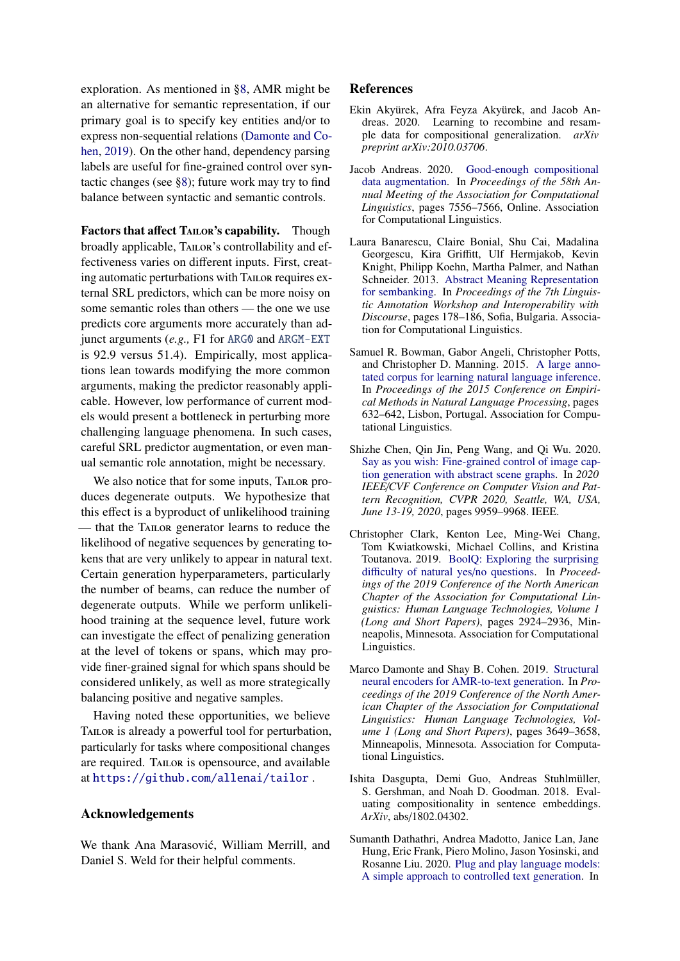exploration. As mentioned in [§8,](#page-9-1) AMR might be an alternative for semantic representation, if our primary goal is to specify key entities and/or to express non-sequential relations [\(Damonte and Co](#page-10-7)[hen,](#page-10-7) [2019\)](#page-10-7). On the other hand, dependency parsing labels are useful for fine-grained control over syntactic changes (see [§8\)](#page-9-1); future work may try to find balance between syntactic and semantic controls.

Factors that affect TAILOR's capability. Though broadly applicable, Tailor's controllability and effectiveness varies on different inputs. First, creating automatic perturbations with Tailor requires external SRL predictors, which can be more noisy on some semantic roles than others — the one we use predicts core arguments more accurately than adjunct arguments (*e.g.,* F1 for ARG0 and ARGM-EXT is 92.9 versus 51.4). Empirically, most applications lean towards modifying the more common arguments, making the predictor reasonably applicable. However, low performance of current models would present a bottleneck in perturbing more challenging language phenomena. In such cases, careful SRL predictor augmentation, or even manual semantic role annotation, might be necessary.

We also notice that for some inputs, TAILOR produces degenerate outputs. We hypothesize that this effect is a byproduct of unlikelihood training — that the Tailor generator learns to reduce the likelihood of negative sequences by generating tokens that are very unlikely to appear in natural text. Certain generation hyperparameters, particularly the number of beams, can reduce the number of degenerate outputs. While we perform unlikelihood training at the sequence level, future work can investigate the effect of penalizing generation at the level of tokens or spans, which may provide finer-grained signal for which spans should be considered unlikely, as well as more strategically balancing positive and negative samples.

Having noted these opportunities, we believe TAILOR is already a powerful tool for perturbation, particularly for tasks where compositional changes are required. TAILOR is opensource, and available at <https://github.com/allenai/tailor> .

## Acknowledgements

We thank Ana Marasović, William Merrill, and Daniel S. Weld for their helpful comments.

### References

- <span id="page-10-0"></span>Ekin Akyürek, Afra Feyza Akyürek, and Jacob Andreas. 2020. Learning to recombine and resample data for compositional generalization. *arXiv preprint arXiv:2010.03706*.
- <span id="page-10-1"></span>Jacob Andreas. 2020. [Good-enough compositional](https://doi.org/10.18653/v1/2020.acl-main.676) [data augmentation.](https://doi.org/10.18653/v1/2020.acl-main.676) In *Proceedings of the 58th Annual Meeting of the Association for Computational Linguistics*, pages 7556–7566, Online. Association for Computational Linguistics.
- <span id="page-10-6"></span>Laura Banarescu, Claire Bonial, Shu Cai, Madalina Georgescu, Kira Griffitt, Ulf Hermjakob, Kevin Knight, Philipp Koehn, Martha Palmer, and Nathan Schneider. 2013. [Abstract Meaning Representation](https://www.aclweb.org/anthology/W13-2322) [for sembanking.](https://www.aclweb.org/anthology/W13-2322) In *Proceedings of the 7th Linguistic Annotation Workshop and Interoperability with Discourse*, pages 178–186, Sofia, Bulgaria. Association for Computational Linguistics.
- <span id="page-10-3"></span>Samuel R. Bowman, Gabor Angeli, Christopher Potts, and Christopher D. Manning. 2015. [A large anno](https://doi.org/10.18653/v1/D15-1075)[tated corpus for learning natural language inference.](https://doi.org/10.18653/v1/D15-1075) In *Proceedings of the 2015 Conference on Empirical Methods in Natural Language Processing*, pages 632–642, Lisbon, Portugal. Association for Computational Linguistics.
- <span id="page-10-8"></span>Shizhe Chen, Qin Jin, Peng Wang, and Qi Wu. 2020. [Say as you wish: Fine-grained control of image cap](https://doi.org/10.1109/CVPR42600.2020.00998)[tion generation with abstract scene graphs.](https://doi.org/10.1109/CVPR42600.2020.00998) In *2020 IEEE*/*CVF Conference on Computer Vision and Pattern Recognition, CVPR 2020, Seattle, WA, USA, June 13-19, 2020*, pages 9959–9968. IEEE.
- <span id="page-10-2"></span>Christopher Clark, Kenton Lee, Ming-Wei Chang, Tom Kwiatkowski, Michael Collins, and Kristina Toutanova. 2019. [BoolQ: Exploring the surprising](https://doi.org/10.18653/v1/N19-1300) diffi[culty of natural yes](https://doi.org/10.18653/v1/N19-1300)/no questions. In *Proceedings of the 2019 Conference of the North American Chapter of the Association for Computational Linguistics: Human Language Technologies, Volume 1 (Long and Short Papers)*, pages 2924–2936, Minneapolis, Minnesota. Association for Computational Linguistics.
- <span id="page-10-7"></span>Marco Damonte and Shay B. Cohen. 2019. [Structural](https://doi.org/10.18653/v1/N19-1366) [neural encoders for AMR-to-text generation.](https://doi.org/10.18653/v1/N19-1366) In *Proceedings of the 2019 Conference of the North American Chapter of the Association for Computational Linguistics: Human Language Technologies, Volume 1 (Long and Short Papers)*, pages 3649–3658, Minneapolis, Minnesota. Association for Computational Linguistics.
- <span id="page-10-4"></span>Ishita Dasgupta, Demi Guo, Andreas Stuhlmüller, S. Gershman, and Noah D. Goodman. 2018. Evaluating compositionality in sentence embeddings. *ArXiv*, abs/1802.04302.
- <span id="page-10-5"></span>Sumanth Dathathri, Andrea Madotto, Janice Lan, Jane Hung, Eric Frank, Piero Molino, Jason Yosinski, and Rosanne Liu. 2020. [Plug and play language models:](https://openreview.net/forum?id=H1edEyBKDS) [A simple approach to controlled text generation.](https://openreview.net/forum?id=H1edEyBKDS) In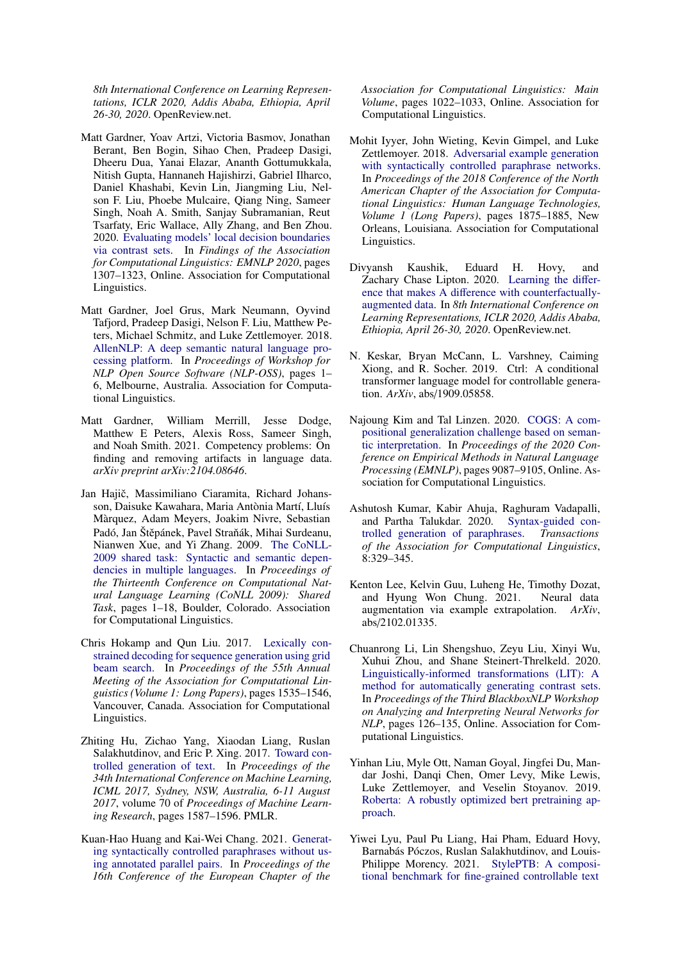*8th International Conference on Learning Representations, ICLR 2020, Addis Ababa, Ethiopia, April 26-30, 2020*. OpenReview.net.

- <span id="page-11-5"></span>Matt Gardner, Yoav Artzi, Victoria Basmov, Jonathan Berant, Ben Bogin, Sihao Chen, Pradeep Dasigi, Dheeru Dua, Yanai Elazar, Ananth Gottumukkala, Nitish Gupta, Hannaneh Hajishirzi, Gabriel Ilharco, Daniel Khashabi, Kevin Lin, Jiangming Liu, Nelson F. Liu, Phoebe Mulcaire, Qiang Ning, Sameer Singh, Noah A. Smith, Sanjay Subramanian, Reut Tsarfaty, Eric Wallace, Ally Zhang, and Ben Zhou. 2020. [Evaluating models' local decision boundaries](https://doi.org/10.18653/v1/2020.findings-emnlp.117) [via contrast sets.](https://doi.org/10.18653/v1/2020.findings-emnlp.117) In *Findings of the Association for Computational Linguistics: EMNLP 2020*, pages 1307–1323, Online. Association for Computational Linguistics.
- <span id="page-11-15"></span>Matt Gardner, Joel Grus, Mark Neumann, Oyvind Tafjord, Pradeep Dasigi, Nelson F. Liu, Matthew Peters, Michael Schmitz, and Luke Zettlemoyer. 2018. [AllenNLP: A deep semantic natural language pro](https://doi.org/10.18653/v1/W18-2501)[cessing platform.](https://doi.org/10.18653/v1/W18-2501) In *Proceedings of Workshop for NLP Open Source Software (NLP-OSS)*, pages 1– 6, Melbourne, Australia. Association for Computational Linguistics.
- <span id="page-11-0"></span>Matt Gardner, William Merrill, Jesse Dodge, Matthew E Peters, Alexis Ross, Sameer Singh, and Noah Smith. 2021. Competency problems: On finding and removing artifacts in language data. *arXiv preprint arXiv:2104.08646*.
- <span id="page-11-3"></span>Jan Hajič, Massimiliano Ciaramita, Richard Johansson, Daisuke Kawahara, Maria Antònia Martí, Lluís Màrquez, Adam Meyers, Joakim Nivre, Sebastian Padó, Jan Štěpánek, Pavel Straňák, Mihai Surdeanu, Nianwen Xue, and Yi Zhang. 2009. [The CoNLL-](https://www.aclweb.org/anthology/W09-1201)[2009 shared task: Syntactic and semantic depen](https://www.aclweb.org/anthology/W09-1201)[dencies in multiple languages.](https://www.aclweb.org/anthology/W09-1201) In *Proceedings of the Thirteenth Conference on Computational Natural Language Learning (CoNLL 2009): Shared Task*, pages 1–18, Boulder, Colorado. Association for Computational Linguistics.
- <span id="page-11-6"></span>Chris Hokamp and Qun Liu. 2017. [Lexically con](https://doi.org/10.18653/v1/P17-1141)[strained decoding for sequence generation using grid](https://doi.org/10.18653/v1/P17-1141) [beam search.](https://doi.org/10.18653/v1/P17-1141) In *Proceedings of the 55th Annual Meeting of the Association for Computational Linguistics (Volume 1: Long Papers)*, pages 1535–1546, Vancouver, Canada. Association for Computational Linguistics.
- <span id="page-11-9"></span>Zhiting Hu, Zichao Yang, Xiaodan Liang, Ruslan Salakhutdinov, and Eric P. Xing. 2017. [Toward con](http://proceedings.mlr.press/v70/hu17e.html)[trolled generation of text.](http://proceedings.mlr.press/v70/hu17e.html) In *Proceedings of the 34th International Conference on Machine Learning, ICML 2017, Sydney, NSW, Australia, 6-11 August 2017*, volume 70 of *Proceedings of Machine Learning Research*, pages 1587–1596. PMLR.
- <span id="page-11-12"></span>Kuan-Hao Huang and Kai-Wei Chang. 2021. [Generat](https://www.aclweb.org/anthology/2021.eacl-main.88)[ing syntactically controlled paraphrases without us](https://www.aclweb.org/anthology/2021.eacl-main.88)[ing annotated parallel pairs.](https://www.aclweb.org/anthology/2021.eacl-main.88) In *Proceedings of the 16th Conference of the European Chapter of the*

*Association for Computational Linguistics: Main Volume*, pages 1022–1033, Online. Association for Computational Linguistics.

- <span id="page-11-4"></span>Mohit Iyyer, John Wieting, Kevin Gimpel, and Luke Zettlemoyer. 2018. [Adversarial example generation](https://doi.org/10.18653/v1/N18-1170) [with syntactically controlled paraphrase networks.](https://doi.org/10.18653/v1/N18-1170) In *Proceedings of the 2018 Conference of the North American Chapter of the Association for Computational Linguistics: Human Language Technologies, Volume 1 (Long Papers)*, pages 1875–1885, New Orleans, Louisiana. Association for Computational Linguistics.
- <span id="page-11-1"></span>Divyansh Kaushik, Eduard H. Hovy, and Zachary Chase Lipton. 2020. [Learning the di](https://openreview.net/forum?id=Sklgs0NFvr)fference that makes A diff[erence with counterfactually](https://openreview.net/forum?id=Sklgs0NFvr)[augmented data.](https://openreview.net/forum?id=Sklgs0NFvr) In *8th International Conference on Learning Representations, ICLR 2020, Addis Ababa, Ethiopia, April 26-30, 2020*. OpenReview.net.
- <span id="page-11-10"></span>N. Keskar, Bryan McCann, L. Varshney, Caiming Xiong, and R. Socher. 2019. Ctrl: A conditional transformer language model for controllable generation. *ArXiv*, abs/1909.05858.
- <span id="page-11-14"></span>Najoung Kim and Tal Linzen. 2020. [COGS: A com](https://doi.org/10.18653/v1/2020.emnlp-main.731)[positional generalization challenge based on seman](https://doi.org/10.18653/v1/2020.emnlp-main.731)[tic interpretation.](https://doi.org/10.18653/v1/2020.emnlp-main.731) In *Proceedings of the 2020 Conference on Empirical Methods in Natural Language Processing (EMNLP)*, pages 9087–9105, Online. Association for Computational Linguistics.
- <span id="page-11-11"></span>Ashutosh Kumar, Kabir Ahuja, Raghuram Vadapalli, and Partha Talukdar. 2020. [Syntax-guided con](https://doi.org/10.1162/tacl_a_00318)[trolled generation of paraphrases.](https://doi.org/10.1162/tacl_a_00318) *Transactions of the Association for Computational Linguistics*, 8:329–345.
- <span id="page-11-8"></span>Kenton Lee, Kelvin Guu, Luheng He, Timothy Dozat, and Hyung Won Chung. 2021. Neural data augmentation via example extrapolation. *ArXiv*, abs/2102.01335.
- <span id="page-11-13"></span>Chuanrong Li, Lin Shengshuo, Zeyu Liu, Xinyi Wu, Xuhui Zhou, and Shane Steinert-Threlkeld. 2020. [Linguistically-informed transformations \(LIT\): A](https://doi.org/10.18653/v1/2020.blackboxnlp-1.12) [method for automatically generating contrast sets.](https://doi.org/10.18653/v1/2020.blackboxnlp-1.12) In *Proceedings of the Third BlackboxNLP Workshop on Analyzing and Interpreting Neural Networks for NLP*, pages 126–135, Online. Association for Computational Linguistics.
- <span id="page-11-7"></span>Yinhan Liu, Myle Ott, Naman Goyal, Jingfei Du, Mandar Joshi, Danqi Chen, Omer Levy, Mike Lewis, Luke Zettlemoyer, and Veselin Stoyanov. 2019. [Roberta: A robustly optimized bert pretraining ap](http://arxiv.org/abs/1907.11692)[proach.](http://arxiv.org/abs/1907.11692)
- <span id="page-11-2"></span>Yiwei Lyu, Paul Pu Liang, Hai Pham, Eduard Hovy, Barnabás Póczos, Ruslan Salakhutdinov, and Louis-Philippe Morency. 2021. [StylePTB: A composi](https://www.aclweb.org/anthology/2021.naacl-main.171)[tional benchmark for fine-grained controllable text](https://www.aclweb.org/anthology/2021.naacl-main.171)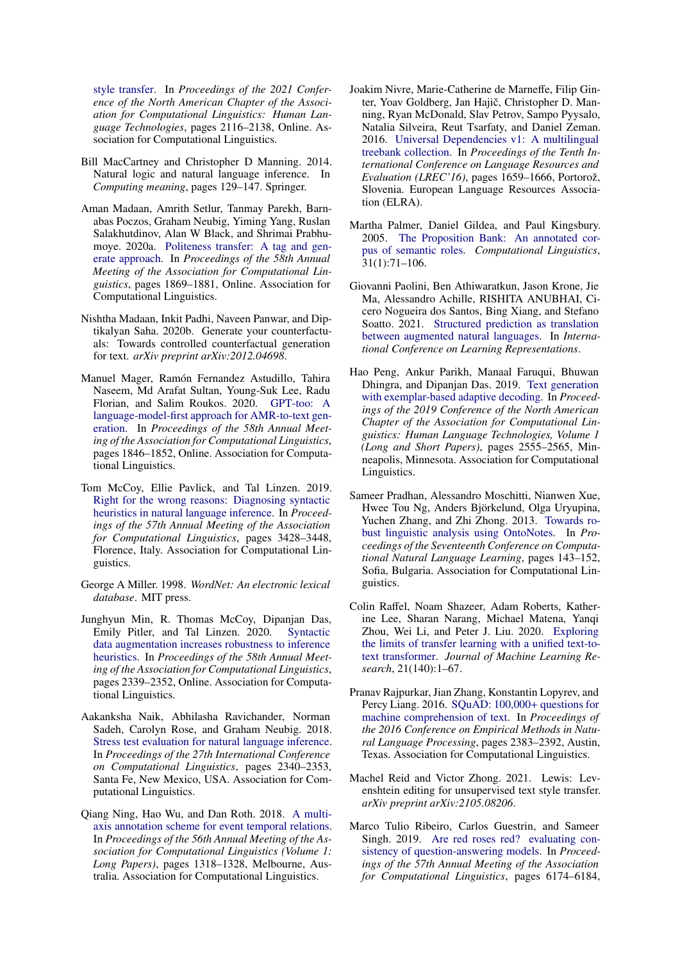[style transfer.](https://www.aclweb.org/anthology/2021.naacl-main.171) In *Proceedings of the 2021 Conference of the North American Chapter of the Association for Computational Linguistics: Human Language Technologies*, pages 2116–2138, Online. Association for Computational Linguistics.

- <span id="page-12-8"></span>Bill MacCartney and Christopher D Manning. 2014. Natural logic and natural language inference. In *Computing meaning*, pages 129–147. Springer.
- <span id="page-12-16"></span>Aman Madaan, Amrith Setlur, Tanmay Parekh, Barnabas Poczos, Graham Neubig, Yiming Yang, Ruslan Salakhutdinov, Alan W Black, and Shrimai Prabhumoye. 2020a. [Politeness transfer: A tag and gen](https://doi.org/10.18653/v1/2020.acl-main.169)[erate approach.](https://doi.org/10.18653/v1/2020.acl-main.169) In *Proceedings of the 58th Annual Meeting of the Association for Computational Linguistics*, pages 1869–1881, Online. Association for Computational Linguistics.
- <span id="page-12-1"></span>Nishtha Madaan, Inkit Padhi, Naveen Panwar, and Diptikalyan Saha. 2020b. Generate your counterfactuals: Towards controlled counterfactual generation for text. *arXiv preprint arXiv:2012.04698*.
- <span id="page-12-17"></span>Manuel Mager, Ramón Fernandez Astudillo, Tahira Naseem, Md Arafat Sultan, Young-Suk Lee, Radu Florian, and Salim Roukos. 2020. [GPT-too: A](https://doi.org/10.18653/v1/2020.acl-main.167) [language-model-first approach for AMR-to-text gen](https://doi.org/10.18653/v1/2020.acl-main.167)[eration.](https://doi.org/10.18653/v1/2020.acl-main.167) In *Proceedings of the 58th Annual Meeting of the Association for Computational Linguistics*, pages 1846–1852, Online. Association for Computational Linguistics.
- <span id="page-12-3"></span>Tom McCoy, Ellie Pavlick, and Tal Linzen. 2019. [Right for the wrong reasons: Diagnosing syntactic](https://doi.org/10.18653/v1/P19-1334) [heuristics in natural language inference.](https://doi.org/10.18653/v1/P19-1334) In *Proceedings of the 57th Annual Meeting of the Association for Computational Linguistics*, pages 3428–3448, Florence, Italy. Association for Computational Linguistics.
- <span id="page-12-7"></span>George A Miller. 1998. *WordNet: An electronic lexical database*. MIT press.
- <span id="page-12-13"></span>Junghyun Min, R. Thomas McCoy, Dipanjan Das, Emily Pitler, and Tal Linzen. 2020. [Syntactic](https://doi.org/10.18653/v1/2020.acl-main.212) [data augmentation increases robustness to inference](https://doi.org/10.18653/v1/2020.acl-main.212) [heuristics.](https://doi.org/10.18653/v1/2020.acl-main.212) In *Proceedings of the 58th Annual Meeting of the Association for Computational Linguistics*, pages 2339–2352, Online. Association for Computational Linguistics.
- <span id="page-12-14"></span>Aakanksha Naik, Abhilasha Ravichander, Norman Sadeh, Carolyn Rose, and Graham Neubig. 2018. [Stress test evaluation for natural language inference.](https://www.aclweb.org/anthology/C18-1198) In *Proceedings of the 27th International Conference on Computational Linguistics*, pages 2340–2353, Santa Fe, New Mexico, USA. Association for Computational Linguistics.
- <span id="page-12-11"></span>Qiang Ning, Hao Wu, and Dan Roth. 2018. [A multi](https://doi.org/10.18653/v1/P18-1122)[axis annotation scheme for event temporal relations.](https://doi.org/10.18653/v1/P18-1122) In *Proceedings of the 56th Annual Meeting of the Association for Computational Linguistics (Volume 1: Long Papers)*, pages 1318–1328, Melbourne, Australia. Association for Computational Linguistics.
- <span id="page-12-10"></span>Joakim Nivre, Marie-Catherine de Marneffe, Filip Ginter, Yoav Goldberg, Jan Hajič, Christopher D. Manning, Ryan McDonald, Slav Petrov, Sampo Pyysalo, Natalia Silveira, Reut Tsarfaty, and Daniel Zeman. 2016. [Universal Dependencies v1: A multilingual](https://www.aclweb.org/anthology/L16-1262) [treebank collection.](https://www.aclweb.org/anthology/L16-1262) In *Proceedings of the Tenth International Conference on Language Resources and Evaluation (LREC'16)*, pages 1659–1666, Portorož, Slovenia. European Language Resources Association (ELRA).
- <span id="page-12-2"></span>Martha Palmer, Daniel Gildea, and Paul Kingsbury. 2005. [The Proposition Bank: An annotated cor](https://doi.org/10.1162/0891201053630264)[pus of semantic roles.](https://doi.org/10.1162/0891201053630264) *Computational Linguistics*, 31(1):71–106.
- <span id="page-12-4"></span>Giovanni Paolini, Ben Athiwaratkun, Jason Krone, Jie Ma, Alessandro Achille, RISHITA ANUBHAI, Cicero Nogueira dos Santos, Bing Xiang, and Stefano Soatto. 2021. [Structured prediction as translation](https://openreview.net/forum?id=US-TP-xnXI) [between augmented natural languages.](https://openreview.net/forum?id=US-TP-xnXI) In *International Conference on Learning Representations*.
- <span id="page-12-15"></span>Hao Peng, Ankur Parikh, Manaal Faruqui, Bhuwan Dhingra, and Dipanjan Das. 2019. [Text generation](https://doi.org/10.18653/v1/N19-1263) [with exemplar-based adaptive decoding.](https://doi.org/10.18653/v1/N19-1263) In *Proceedings of the 2019 Conference of the North American Chapter of the Association for Computational Linguistics: Human Language Technologies, Volume 1 (Long and Short Papers)*, pages 2555–2565, Minneapolis, Minnesota. Association for Computational Linguistics.
- <span id="page-12-5"></span>Sameer Pradhan, Alessandro Moschitti, Nianwen Xue, Hwee Tou Ng, Anders Björkelund, Olga Uryupina, Yuchen Zhang, and Zhi Zhong. 2013. [Towards ro](https://www.aclweb.org/anthology/W13-3516)[bust linguistic analysis using OntoNotes.](https://www.aclweb.org/anthology/W13-3516) In *Proceedings of the Seventeenth Conference on Computational Natural Language Learning*, pages 143–152, Sofia, Bulgaria. Association for Computational Linguistics.
- <span id="page-12-6"></span>Colin Raffel, Noam Shazeer, Adam Roberts, Katherine Lee, Sharan Narang, Michael Matena, Yanqi Zhou, Wei Li, and Peter J. Liu. 2020. [Exploring](http://jmlr.org/papers/v21/20-074.html) [the limits of transfer learning with a unified text-to](http://jmlr.org/papers/v21/20-074.html)[text transformer.](http://jmlr.org/papers/v21/20-074.html) *Journal of Machine Learning Research*, 21(140):1–67.
- <span id="page-12-9"></span>Pranav Rajpurkar, Jian Zhang, Konstantin Lopyrev, and Percy Liang. 2016. [SQuAD: 100,000](https://doi.org/10.18653/v1/D16-1264)+ questions for [machine comprehension of text.](https://doi.org/10.18653/v1/D16-1264) In *Proceedings of the 2016 Conference on Empirical Methods in Natural Language Processing*, pages 2383–2392, Austin, Texas. Association for Computational Linguistics.
- <span id="page-12-0"></span>Machel Reid and Victor Zhong. 2021. Lewis: Levenshtein editing for unsupervised text style transfer. *arXiv preprint arXiv:2105.08206*.
- <span id="page-12-12"></span>Marco Tulio Ribeiro, Carlos Guestrin, and Sameer Singh. 2019. [Are red roses red? evaluating con](https://doi.org/10.18653/v1/P19-1621)[sistency of question-answering models.](https://doi.org/10.18653/v1/P19-1621) In *Proceedings of the 57th Annual Meeting of the Association for Computational Linguistics*, pages 6174–6184,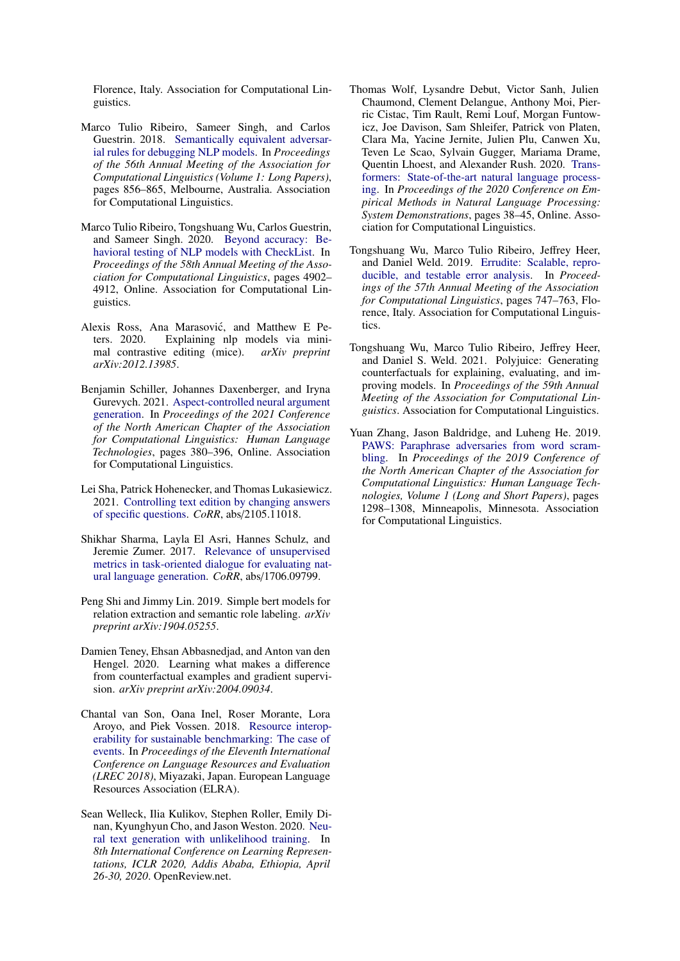Florence, Italy. Association for Computational Linguistics.

- <span id="page-13-10"></span>Marco Tulio Ribeiro, Sameer Singh, and Carlos Guestrin. 2018. [Semantically equivalent adversar](https://doi.org/10.18653/v1/P18-1079)[ial rules for debugging NLP models.](https://doi.org/10.18653/v1/P18-1079) In *Proceedings of the 56th Annual Meeting of the Association for Computational Linguistics (Volume 1: Long Papers)*, pages 856–865, Melbourne, Australia. Association for Computational Linguistics.
- <span id="page-13-9"></span>Marco Tulio Ribeiro, Tongshuang Wu, Carlos Guestrin, and Sameer Singh. 2020. [Beyond accuracy: Be](https://doi.org/10.18653/v1/2020.acl-main.442)[havioral testing of NLP models with CheckList.](https://doi.org/10.18653/v1/2020.acl-main.442) In *Proceedings of the 58th Annual Meeting of the Association for Computational Linguistics*, pages 4902– 4912, Online. Association for Computational Linguistics.
- <span id="page-13-0"></span>Alexis Ross, Ana Marasović, and Matthew E Peters. 2020. Explaining nlp models via minimal contrastive editing (mice). *arXiv preprint arXiv:2012.13985*.
- <span id="page-13-12"></span>Benjamin Schiller, Johannes Daxenberger, and Iryna Gurevych. 2021. [Aspect-controlled neural argument](https://www.aclweb.org/anthology/2021.naacl-main.34) [generation.](https://www.aclweb.org/anthology/2021.naacl-main.34) In *Proceedings of the 2021 Conference of the North American Chapter of the Association for Computational Linguistics: Human Language Technologies*, pages 380–396, Online. Association for Computational Linguistics.
- <span id="page-13-8"></span>Lei Sha, Patrick Hohenecker, and Thomas Lukasiewicz. 2021. [Controlling text edition by changing answers](http://arxiv.org/abs/2105.11018) [of specific questions.](http://arxiv.org/abs/2105.11018) *CoRR*, abs/2105.11018.
- <span id="page-13-7"></span>Shikhar Sharma, Layla El Asri, Hannes Schulz, and Jeremie Zumer. 2017. [Relevance of unsupervised](http://arxiv.org/abs/1706.09799) [metrics in task-oriented dialogue for evaluating nat](http://arxiv.org/abs/1706.09799)[ural language generation.](http://arxiv.org/abs/1706.09799) *CoRR*, abs/1706.09799.
- <span id="page-13-5"></span>Peng Shi and Jimmy Lin. 2019. Simple bert models for relation extraction and semantic role labeling. *arXiv preprint arXiv:1904.05255*.
- <span id="page-13-1"></span>Damien Teney, Ehsan Abbasnedjad, and Anton van den Hengel. 2020. Learning what makes a difference from counterfactual examples and gradient supervision. *arXiv preprint arXiv:2004.09034*.
- <span id="page-13-6"></span>Chantal van Son, Oana Inel, Roser Morante, Lora Aroyo, and Piek Vossen. 2018. [Resource interop](https://www.aclweb.org/anthology/L18-1178)[erability for sustainable benchmarking: The case of](https://www.aclweb.org/anthology/L18-1178) [events.](https://www.aclweb.org/anthology/L18-1178) In *Proceedings of the Eleventh International Conference on Language Resources and Evaluation (LREC 2018)*, Miyazaki, Japan. European Language Resources Association (ELRA).
- <span id="page-13-3"></span>Sean Welleck, Ilia Kulikov, Stephen Roller, Emily Dinan, Kyunghyun Cho, and Jason Weston. 2020. [Neu](https://openreview.net/forum?id=SJeYe0NtvH)[ral text generation with unlikelihood training.](https://openreview.net/forum?id=SJeYe0NtvH) In *8th International Conference on Learning Representations, ICLR 2020, Addis Ababa, Ethiopia, April 26-30, 2020*. OpenReview.net.
- <span id="page-13-13"></span>Thomas Wolf, Lysandre Debut, Victor Sanh, Julien Chaumond, Clement Delangue, Anthony Moi, Pierric Cistac, Tim Rault, Remi Louf, Morgan Funtowicz, Joe Davison, Sam Shleifer, Patrick von Platen, Clara Ma, Yacine Jernite, Julien Plu, Canwen Xu, Teven Le Scao, Sylvain Gugger, Mariama Drame, Quentin Lhoest, and Alexander Rush. 2020. [Trans](https://doi.org/10.18653/v1/2020.emnlp-demos.6)[formers: State-of-the-art natural language process](https://doi.org/10.18653/v1/2020.emnlp-demos.6)[ing.](https://doi.org/10.18653/v1/2020.emnlp-demos.6) In *Proceedings of the 2020 Conference on Empirical Methods in Natural Language Processing: System Demonstrations*, pages 38–45, Online. Association for Computational Linguistics.
- <span id="page-13-11"></span>Tongshuang Wu, Marco Tulio Ribeiro, Jeffrey Heer, and Daniel Weld. 2019. [Errudite: Scalable, repro](https://doi.org/10.18653/v1/P19-1073)[ducible, and testable error analysis.](https://doi.org/10.18653/v1/P19-1073) In *Proceedings of the 57th Annual Meeting of the Association for Computational Linguistics*, pages 747–763, Florence, Italy. Association for Computational Linguistics.
- <span id="page-13-2"></span>Tongshuang Wu, Marco Tulio Ribeiro, Jeffrey Heer, and Daniel S. Weld. 2021. Polyjuice: Generating counterfactuals for explaining, evaluating, and improving models. In *Proceedings of the 59th Annual Meeting of the Association for Computational Linguistics*. Association for Computational Linguistics.
- <span id="page-13-4"></span>Yuan Zhang, Jason Baldridge, and Luheng He. 2019. [PAWS: Paraphrase adversaries from word scram](https://doi.org/10.18653/v1/N19-1131)[bling.](https://doi.org/10.18653/v1/N19-1131) In *Proceedings of the 2019 Conference of the North American Chapter of the Association for Computational Linguistics: Human Language Technologies, Volume 1 (Long and Short Papers)*, pages 1298–1308, Minneapolis, Minnesota. Association for Computational Linguistics.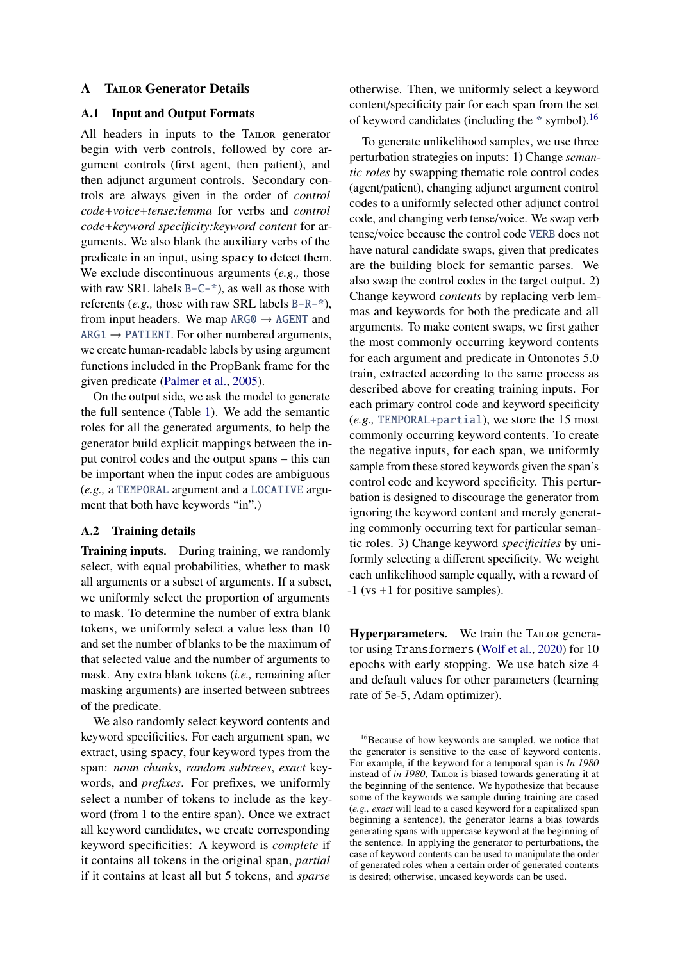#### **A** TAILOR Generator Details

## <span id="page-14-0"></span>A.1 Input and Output Formats

All headers in inputs to the TAILOR generator begin with verb controls, followed by core argument controls (first agent, then patient), and then adjunct argument controls. Secondary controls are always given in the order of *control code*+*voice*+*tense:lemma* for verbs and *control code*+*keyword specificity:keyword content* for arguments. We also blank the auxiliary verbs of the predicate in an input, using spacy to detect them. We exclude discontinuous arguments (*e.g.,* those with raw SRL labels  $B - C^{-*}$ , as well as those with referents (*e.g.,* those with raw SRL labels B-R-\*), from input headers. We map  $ARG0 \rightarrow AGENT$  and  $ARG1 \rightarrow$  PATIENT. For other numbered arguments, we create human-readable labels by using argument functions included in the PropBank frame for the given predicate [\(Palmer et al.,](#page-12-2) [2005\)](#page-12-2).

On the output side, we ask the model to generate the full sentence (Table [1\)](#page-2-1). We add the semantic roles for all the generated arguments, to help the generator build explicit mappings between the input control codes and the output spans – this can be important when the input codes are ambiguous (*e.g.,* a TEMPORAL argument and a LOCATIVE argument that both have keywords "in".)

## <span id="page-14-1"></span>A.2 Training details

Training inputs. During training, we randomly select, with equal probabilities, whether to mask all arguments or a subset of arguments. If a subset, we uniformly select the proportion of arguments to mask. To determine the number of extra blank tokens, we uniformly select a value less than 10 and set the number of blanks to be the maximum of that selected value and the number of arguments to mask. Any extra blank tokens (*i.e.,* remaining after masking arguments) are inserted between subtrees of the predicate.

We also randomly select keyword contents and keyword specificities. For each argument span, we extract, using spacy, four keyword types from the span: *noun chunks*, *random subtrees*, *exact* keywords, and *prefixes*. For prefixes, we uniformly select a number of tokens to include as the keyword (from 1 to the entire span). Once we extract all keyword candidates, we create corresponding keyword specificities: A keyword is *complete* if it contains all tokens in the original span, *partial* if it contains at least all but 5 tokens, and *sparse*

otherwise. Then, we uniformly select a keyword content/specificity pair for each span from the set of keyword candidates (including the  $*$  symbol).<sup>[16](#page-14-2)</sup>

To generate unlikelihood samples, we use three perturbation strategies on inputs: 1) Change *semantic roles* by swapping thematic role control codes (agent/patient), changing adjunct argument control codes to a uniformly selected other adjunct control code, and changing verb tense/voice. We swap verb tense/voice because the control code VERB does not have natural candidate swaps, given that predicates are the building block for semantic parses. We also swap the control codes in the target output. 2) Change keyword *contents* by replacing verb lemmas and keywords for both the predicate and all arguments. To make content swaps, we first gather the most commonly occurring keyword contents for each argument and predicate in Ontonotes 5.0 train, extracted according to the same process as described above for creating training inputs. For each primary control code and keyword specificity (*e.g.,* TEMPORAL+partial), we store the 15 most commonly occurring keyword contents. To create the negative inputs, for each span, we uniformly sample from these stored keywords given the span's control code and keyword specificity. This perturbation is designed to discourage the generator from ignoring the keyword content and merely generating commonly occurring text for particular semantic roles. 3) Change keyword *specificities* by uniformly selecting a different specificity. We weight each unlikelihood sample equally, with a reward of -1 (vs +1 for positive samples).

Hyperparameters. We train the TAILOR generator using Transformers [\(Wolf et al.,](#page-13-13) [2020\)](#page-13-13) for 10 epochs with early stopping. We use batch size 4 and default values for other parameters (learning rate of 5e-5, Adam optimizer).

<span id="page-14-2"></span><sup>&</sup>lt;sup>16</sup>Because of how keywords are sampled, we notice that the generator is sensitive to the case of keyword contents. For example, if the keyword for a temporal span is *In 1980* instead of *in 1980*, TAILOR is biased towards generating it at the beginning of the sentence. We hypothesize that because some of the keywords we sample during training are cased (*e.g., exact* will lead to a cased keyword for a capitalized span beginning a sentence), the generator learns a bias towards generating spans with uppercase keyword at the beginning of the sentence. In applying the generator to perturbations, the case of keyword contents can be used to manipulate the order of generated roles when a certain order of generated contents is desired; otherwise, uncased keywords can be used.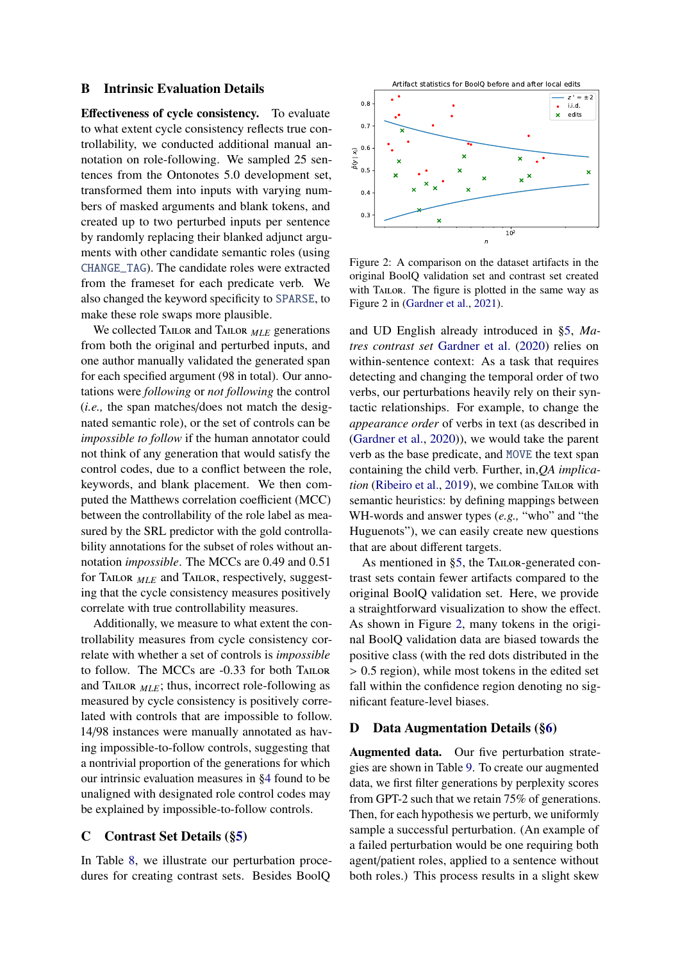#### <span id="page-15-0"></span>B Intrinsic Evaluation Details

Effectiveness of cycle consistency. To evaluate to what extent cycle consistency reflects true controllability, we conducted additional manual annotation on role-following. We sampled 25 sentences from the Ontonotes 5.0 development set, transformed them into inputs with varying numbers of masked arguments and blank tokens, and created up to two perturbed inputs per sentence by randomly replacing their blanked adjunct arguments with other candidate semantic roles (using CHANGE\_TAG). The candidate roles were extracted from the frameset for each predicate verb. We also changed the keyword specificity to SPARSE, to make these role swaps more plausible.

We collected TAILOR and TAILOR **MLE** generations from both the original and perturbed inputs, and one author manually validated the generated span for each specified argument (98 in total). Our annotations were *following* or *not following* the control (*i.e.,* the span matches/does not match the designated semantic role), or the set of controls can be *impossible to follow* if the human annotator could not think of any generation that would satisfy the control codes, due to a conflict between the role, keywords, and blank placement. We then computed the Matthews correlation coefficient (MCC) between the controllability of the role label as measured by the SRL predictor with the gold controllability annotations for the subset of roles without annotation *impossible*. The MCCs are 0.49 and 0.51 for Tailor *MLE* and Tailor, respectively, suggesting that the cycle consistency measures positively correlate with true controllability measures.

Additionally, we measure to what extent the controllability measures from cycle consistency correlate with whether a set of controls is *impossible* to follow. The MCCs are -0.33 for both TAILOR and TAILOR  $_{MLE}$ ; thus, incorrect role-following as measured by cycle consistency is positively correlated with controls that are impossible to follow. 14/98 instances were manually annotated as having impossible-to-follow controls, suggesting that a nontrivial proportion of the generations for which our intrinsic evaluation measures in [§4](#page-4-2) found to be unaligned with designated role control codes may be explained by impossible-to-follow controls.

#### <span id="page-15-1"></span>C Contrast Set Details ([§5\)](#page-5-0)

In Table [8,](#page-17-0) we illustrate our perturbation procedures for creating contrast sets. Besides BoolQ

<span id="page-15-3"></span>

Figure 2: A comparison on the dataset artifacts in the original BoolQ validation set and contrast set created with TAILOR. The figure is plotted in the same way as Figure 2 in [\(Gardner et al.,](#page-11-0) [2021\)](#page-11-0).

and UD English already introduced in [§5,](#page-5-0) *Matres contrast set* [Gardner et al.](#page-11-5) [\(2020\)](#page-11-5) relies on within-sentence context: As a task that requires detecting and changing the temporal order of two verbs, our perturbations heavily rely on their syntactic relationships. For example, to change the *appearance order* of verbs in text (as described in [\(Gardner et al.,](#page-11-5) [2020\)](#page-11-5)), we would take the parent verb as the base predicate, and MOVE the text span containing the child verb. Further, in,*QA implication* [\(Ribeiro et al.,](#page-12-12) [2019\)](#page-12-12), we combine TAILOR with semantic heuristics: by defining mappings between WH-words and answer types (*e.g.,* "who" and "the Huguenots"), we can easily create new questions that are about different targets.

As mentioned in [§5,](#page-5-0) the TAILOR-generated contrast sets contain fewer artifacts compared to the original BoolQ validation set. Here, we provide a straightforward visualization to show the effect. As shown in Figure [2,](#page-15-3) many tokens in the original BoolQ validation data are biased towards the positive class (with the red dots distributed in the > <sup>0</sup>.<sup>5</sup> region), while most tokens in the edited set fall within the confidence region denoting no significant feature-level biases.

#### <span id="page-15-2"></span>D Data Augmentation Details ([§6\)](#page-7-1)

Augmented data. Our five perturbation strategies are shown in Table [9.](#page-18-0) To create our augmented data, we first filter generations by perplexity scores from GPT-2 such that we retain 75% of generations. Then, for each hypothesis we perturb, we uniformly sample a successful perturbation. (An example of a failed perturbation would be one requiring both agent/patient roles, applied to a sentence without both roles.) This process results in a slight skew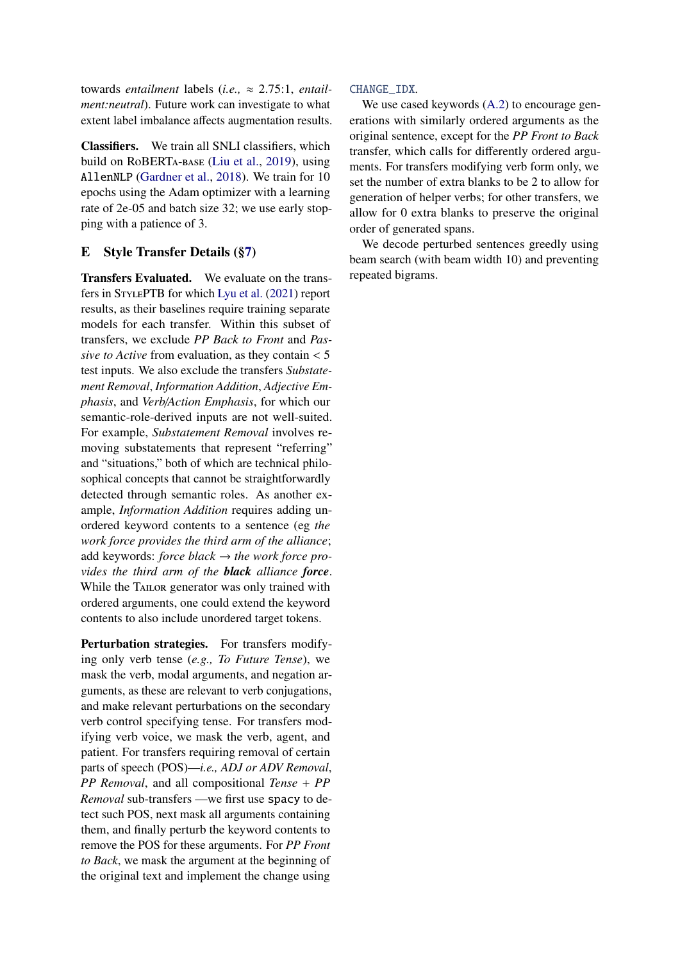towards *entailment* labels (*i.e.,* ≈ 2.75:1, *entailment:neutral*). Future work can investigate to what extent label imbalance affects augmentation results.

Classifiers. We train all SNLI classifiers, which build on RoBERTa-base [\(Liu et al.,](#page-11-7) [2019\)](#page-11-7), using AllenNLP [\(Gardner et al.,](#page-11-15) [2018\)](#page-11-15). We train for 10 epochs using the Adam optimizer with a learning rate of 2e-05 and batch size 32; we use early stopping with a patience of 3.

# <span id="page-16-0"></span>E Style Transfer Details ([§7\)](#page-7-0)

Transfers Evaluated. We evaluate on the transfers in StylePTB for which [Lyu et al.](#page-11-2) [\(2021\)](#page-11-2) report results, as their baselines require training separate models for each transfer. Within this subset of transfers, we exclude *PP Back to Front* and *Passive to Active* from evaluation, as they contain < <sup>5</sup> test inputs. We also exclude the transfers *Substatement Removal*, *Information Addition*, *Adjective Emphasis*, and *Verb*/*Action Emphasis*, for which our semantic-role-derived inputs are not well-suited. For example, *Substatement Removal* involves removing substatements that represent "referring" and "situations," both of which are technical philosophical concepts that cannot be straightforwardly detected through semantic roles. As another example, *Information Addition* requires adding unordered keyword contents to a sentence (eg *the work force provides the third arm of the alliance*; add keywords: *force black* → *the work force provides the third arm of the black alliance force*. While the TAILOR generator was only trained with ordered arguments, one could extend the keyword contents to also include unordered target tokens.

Perturbation strategies. For transfers modifying only verb tense (*e.g., To Future Tense*), we mask the verb, modal arguments, and negation arguments, as these are relevant to verb conjugations, and make relevant perturbations on the secondary verb control specifying tense. For transfers modifying verb voice, we mask the verb, agent, and patient. For transfers requiring removal of certain parts of speech (POS)—*i.e., ADJ or ADV Removal*, *PP Removal*, and all compositional *Tense* + *PP Removal* sub-transfers —we first use spacy to detect such POS, next mask all arguments containing them, and finally perturb the keyword contents to remove the POS for these arguments. For *PP Front to Back*, we mask the argument at the beginning of the original text and implement the change using

## CHANGE\_IDX.

We use cased keywords [\(A.2\)](#page-14-1) to encourage generations with similarly ordered arguments as the original sentence, except for the *PP Front to Back* transfer, which calls for differently ordered arguments. For transfers modifying verb form only, we set the number of extra blanks to be 2 to allow for generation of helper verbs; for other transfers, we allow for 0 extra blanks to preserve the original order of generated spans.

We decode perturbed sentences greedly using beam search (with beam width 10) and preventing repeated bigrams.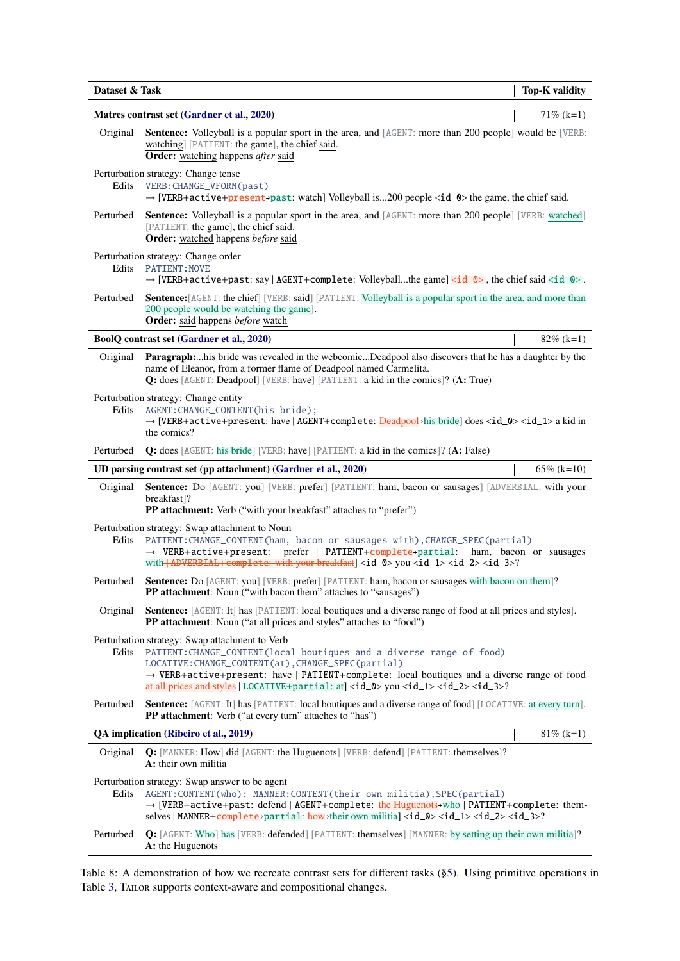<span id="page-17-0"></span>

| Dataset & Task | <b>Top-K</b> validity                                                                                                                                                                                                                                                                                                                                                                                    |               |
|----------------|----------------------------------------------------------------------------------------------------------------------------------------------------------------------------------------------------------------------------------------------------------------------------------------------------------------------------------------------------------------------------------------------------------|---------------|
|                | Matres contrast set (Gardner et al., 2020)                                                                                                                                                                                                                                                                                                                                                               | $71\%$ (k=1)  |
| Original       | <b>Sentence:</b> Volleyball is a popular sport in the area, and [AGENT: more than 200 people] would be [VERB:<br>watching] [PATIENT: the game], the chief said.<br>Order: watching happens after said                                                                                                                                                                                                    |               |
| Edits          | Perturbation strategy: Change tense<br>VERB: CHANGE_VFORM(past)<br>→ [VERB+active+present-past: watch] Volleyball is200 people <id_0> the game, the chief said.</id_0>                                                                                                                                                                                                                                   |               |
| Perturbed      | <b>Sentence:</b> Volleyball is a popular sport in the area, and [AGENT: more than 200 people] [VERB: watched]<br>[PATIENT: the game], the chief said.<br>Order: watched happens before said                                                                                                                                                                                                              |               |
| Edits          | Perturbation strategy: Change order<br><b>PATIENT: MOVE</b><br>$\rightarrow$ [VERB+active+past: say   AGENT+complete: Volleyballthe game] <id_0>, the chief said <id_0>.</id_0></id_0>                                                                                                                                                                                                                   |               |
| Perturbed      | <b>Sentence:</b> [AGENT: the chief] [VERB: said] [PATIENT: Volleyball is a popular sport in the area, and more than<br>200 people would be watching the game].<br>Order: said happens before watch                                                                                                                                                                                                       |               |
|                | BoolQ contrast set (Gardner et al., 2020)                                                                                                                                                                                                                                                                                                                                                                | $82\%$ (k=1)  |
| Original       | Paragraph:his bride was revealed in the webcomicDeadpool also discovers that he has a daughter by the<br>name of Eleanor, from a former flame of Deadpool named Carmelita.<br>Q: does [AGENT: Deadpool] [VERB: have] [PATIENT: a kid in the comics]? (A: True)                                                                                                                                           |               |
| Edits          | Perturbation strategy: Change entity<br>AGENT: CHANGE_CONTENT(his bride);<br>$\rightarrow$ [VERB+active+present: have   AGENT+complete: Deadpool+his bride] does <id_0> <id_1> a kid in<br/>the comics?</id_1></id_0>                                                                                                                                                                                    |               |
| Perturbed      | Q: does [AGENT: his bride] [VERB: have] [PATIENT: a kid in the comics]? (A: False)                                                                                                                                                                                                                                                                                                                       |               |
|                | UD parsing contrast set (pp attachment) (Gardner et al., 2020)                                                                                                                                                                                                                                                                                                                                           | $65\%$ (k=10) |
| Original       | Sentence: Do [AGENT: you] [VERB: prefer] [PATIENT: ham, bacon or sausages] [ADVERBIAL: with your<br>breakfast]?<br>PP attachment: Verb ("with your breakfast" attaches to "prefer")                                                                                                                                                                                                                      |               |
| Edits          | Perturbation strategy: Swap attachment to Noun<br>PATIENT: CHANGE_CONTENT(ham, bacon or sausages with), CHANGE_SPEC(partial)<br>prefer   PATIENT+complete+partial: ham, bacon or sausages<br>$\rightarrow$ VERB+active+present:<br>with <b>ADVERBIAL</b> + complete: with your breakfast   <id_0> you <id_1> <id_2> <id_3>?</id_3></id_2></id_1></id_0>                                                  |               |
| Perturbed      | Sentence: Do [AGENT: you] [VERB: prefer] [PATIENT: ham, bacon or sausages with bacon on them]?<br><b>PP attachment:</b> Noun ("with bacon them" attaches to "sausages")                                                                                                                                                                                                                                  |               |
| Original       | Sentence: [AGENT: It] has [PATIENT: local boutiques and a diverse range of food at all prices and styles].<br>PP attachment: Noun ("at all prices and styles" attaches to "food")                                                                                                                                                                                                                        |               |
| Edits          | Perturbation strategy: Swap attachment to Verb<br>PATIENT: CHANGE_CONTENT(local boutiques and a diverse range of food)<br>LOCATIVE: CHANGE_CONTENT(at), CHANGE_SPEC(partial)<br>$\rightarrow$ VERB+active+present: have   PATIENT+complete: local boutiques and a diverse range of food<br>at all prices and styles   LOCATIVE+partial: at] <id_0> you <id_1> <id_2> <id_3>?</id_3></id_2></id_1></id_0> |               |
| Perturbed      | <b>Sentence:</b> [AGENT: It] has [PATIENT: local boutiques and a diverse range of food] [LOCATIVE: at every turn].<br>PP attachment: Verb ("at every turn" attaches to "has")                                                                                                                                                                                                                            |               |
|                | QA implication (Ribeiro et al., 2019)                                                                                                                                                                                                                                                                                                                                                                    | $81\%$ (k=1)  |
| Original       | <b>Q:</b> [MANNER: How] did [AGENT: the Huguenots] [VERB: defend] [PATIENT: themselves]?<br>A: their own militia                                                                                                                                                                                                                                                                                         |               |
| Edits          | Perturbation strategy: Swap answer to be agent<br>AGENT: CONTENT(who); MANNER: CONTENT(their own militia), SPEC(partial)<br>$\rightarrow$ [VERB+active+past: defend   AGENT+complete: the Huguenots→who   PATIENT+complete: them-<br>selves   MANNER+ $\text{complete}$ +partial: how+their own militia] <id_0> <id_1> <id_2> <id_3>?</id_3></id_2></id_1></id_0>                                        |               |
| Perturbed      | Q: [AGENT: Who] has [VERB: defended] [PATIENT: themselves] [MANNER: by setting up their own militia]?<br>A: the Huguenots                                                                                                                                                                                                                                                                                |               |

Table 8: A demonstration of how we recreate contrast sets for different tasks ([§5\)](#page-5-0). Using primitive operations in Table [3,](#page-4-0) TAILOR supports context-aware and compositional changes.